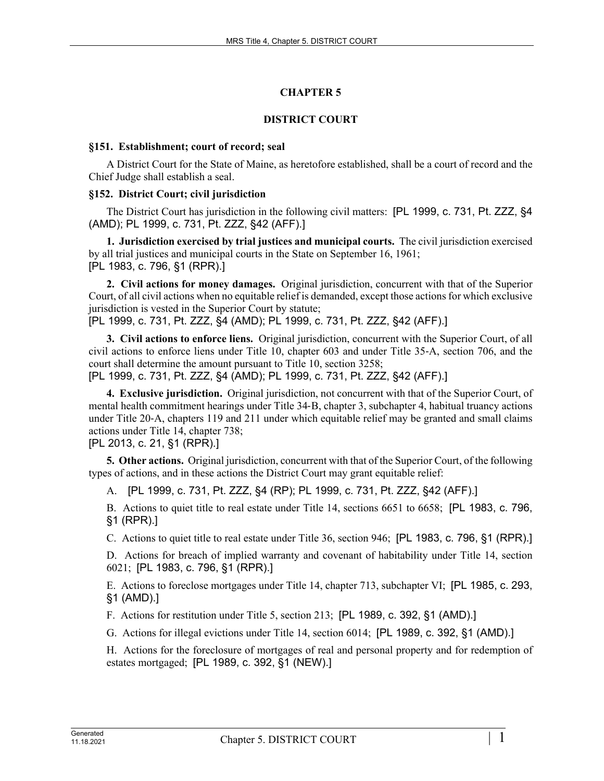# **CHAPTER 5**

# **DISTRICT COURT**

### **§151. Establishment; court of record; seal**

A District Court for the State of Maine, as heretofore established, shall be a court of record and the Chief Judge shall establish a seal.

### **§152. District Court; civil jurisdiction**

The District Court has jurisdiction in the following civil matters: [PL 1999, c. 731, Pt. ZZZ, §4 (AMD); PL 1999, c. 731, Pt. ZZZ, §42 (AFF).]

**1. Jurisdiction exercised by trial justices and municipal courts.** The civil jurisdiction exercised by all trial justices and municipal courts in the State on September 16, 1961; [PL 1983, c. 796, §1 (RPR).]

**2. Civil actions for money damages.** Original jurisdiction, concurrent with that of the Superior Court, of all civil actions when no equitable relief is demanded, except those actions for which exclusive jurisdiction is vested in the Superior Court by statute;

[PL 1999, c. 731, Pt. ZZZ, §4 (AMD); PL 1999, c. 731, Pt. ZZZ, §42 (AFF).]

**3. Civil actions to enforce liens.** Original jurisdiction, concurrent with the Superior Court, of all civil actions to enforce liens under Title 10, chapter 603 and under Title 35‑A, section 706, and the court shall determine the amount pursuant to Title 10, section 3258; [PL 1999, c. 731, Pt. ZZZ, §4 (AMD); PL 1999, c. 731, Pt. ZZZ, §42 (AFF).]

**4. Exclusive jurisdiction.** Original jurisdiction, not concurrent with that of the Superior Court, of mental health commitment hearings under Title 34‑B, chapter 3, subchapter 4, habitual truancy actions under Title 20‑A, chapters 119 and 211 under which equitable relief may be granted and small claims actions under Title 14, chapter 738;

[PL 2013, c. 21, §1 (RPR).]

**5. Other actions.** Original jurisdiction, concurrent with that of the Superior Court, of the following types of actions, and in these actions the District Court may grant equitable relief:

A. [PL 1999, c. 731, Pt. ZZZ, §4 (RP); PL 1999, c. 731, Pt. ZZZ, §42 (AFF).]

B. Actions to quiet title to real estate under Title 14, sections 6651 to 6658; [PL 1983, c. 796, §1 (RPR).]

C. Actions to quiet title to real estate under Title 36, section 946; [PL 1983, c. 796, §1 (RPR).]

D. Actions for breach of implied warranty and covenant of habitability under Title 14, section 6021; [PL 1983, c. 796, §1 (RPR).]

E. Actions to foreclose mortgages under Title 14, chapter 713, subchapter VI; [PL 1985, c. 293, §1 (AMD).]

F. Actions for restitution under Title 5, section 213; [PL 1989, c. 392, §1 (AMD).]

G. Actions for illegal evictions under Title 14, section 6014; [PL 1989, c. 392, §1 (AMD).]

H. Actions for the foreclosure of mortgages of real and personal property and for redemption of estates mortgaged; [PL 1989, c. 392, §1 (NEW).]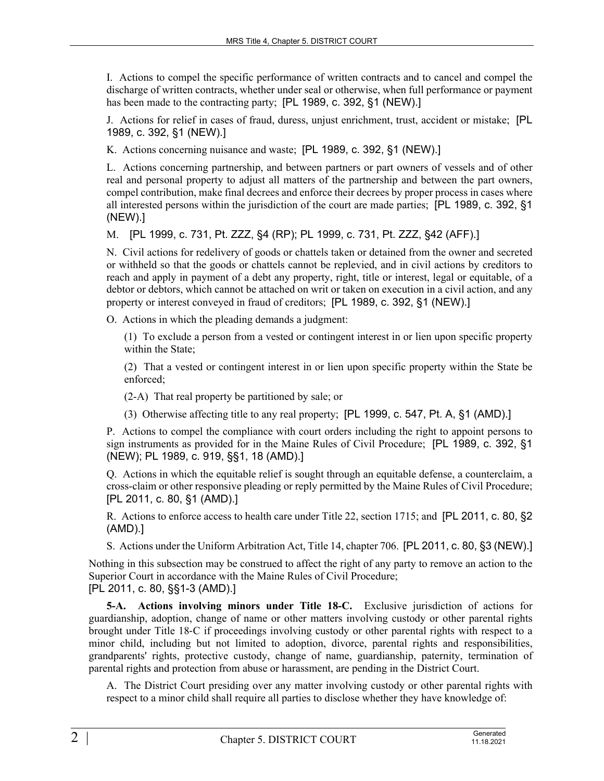I. Actions to compel the specific performance of written contracts and to cancel and compel the discharge of written contracts, whether under seal or otherwise, when full performance or payment has been made to the contracting party; [PL 1989, c. 392, §1 (NEW).]

J. Actions for relief in cases of fraud, duress, unjust enrichment, trust, accident or mistake; [PL 1989, c. 392, §1 (NEW).]

K. Actions concerning nuisance and waste; [PL 1989, c. 392, §1 (NEW).]

L. Actions concerning partnership, and between partners or part owners of vessels and of other real and personal property to adjust all matters of the partnership and between the part owners, compel contribution, make final decrees and enforce their decrees by proper process in cases where all interested persons within the jurisdiction of the court are made parties; [PL 1989, c. 392, §1 (NEW).]

M. [PL 1999, c. 731, Pt. ZZZ, §4 (RP); PL 1999, c. 731, Pt. ZZZ, §42 (AFF).]

N. Civil actions for redelivery of goods or chattels taken or detained from the owner and secreted or withheld so that the goods or chattels cannot be replevied, and in civil actions by creditors to reach and apply in payment of a debt any property, right, title or interest, legal or equitable, of a debtor or debtors, which cannot be attached on writ or taken on execution in a civil action, and any property or interest conveyed in fraud of creditors; [PL 1989, c. 392, §1 (NEW).]

O. Actions in which the pleading demands a judgment:

(1) To exclude a person from a vested or contingent interest in or lien upon specific property within the State;

(2) That a vested or contingent interest in or lien upon specific property within the State be enforced;

(2-A) That real property be partitioned by sale; or

(3) Otherwise affecting title to any real property; [PL 1999, c. 547, Pt. A, §1 (AMD).]

P. Actions to compel the compliance with court orders including the right to appoint persons to sign instruments as provided for in the Maine Rules of Civil Procedure; [PL 1989, c. 392, §1 (NEW); PL 1989, c. 919, §§1, 18 (AMD).]

Q. Actions in which the equitable relief is sought through an equitable defense, a counterclaim, a cross-claim or other responsive pleading or reply permitted by the Maine Rules of Civil Procedure; [PL 2011, c. 80, §1 (AMD).]

R. Actions to enforce access to health care under Title 22, section 1715; and [PL 2011, c. 80, §2 (AMD).]

S. Actions under the Uniform Arbitration Act, Title 14, chapter 706. [PL 2011, c. 80, §3 (NEW).]

Nothing in this subsection may be construed to affect the right of any party to remove an action to the Superior Court in accordance with the Maine Rules of Civil Procedure; [PL 2011, c. 80, §§1-3 (AMD).]

**5-A. Actions involving minors under Title 18-C.** Exclusive jurisdiction of actions for guardianship, adoption, change of name or other matters involving custody or other parental rights brought under Title 18‑C if proceedings involving custody or other parental rights with respect to a minor child, including but not limited to adoption, divorce, parental rights and responsibilities, grandparents' rights, protective custody, change of name, guardianship, paternity, termination of parental rights and protection from abuse or harassment, are pending in the District Court.

A. The District Court presiding over any matter involving custody or other parental rights with respect to a minor child shall require all parties to disclose whether they have knowledge of: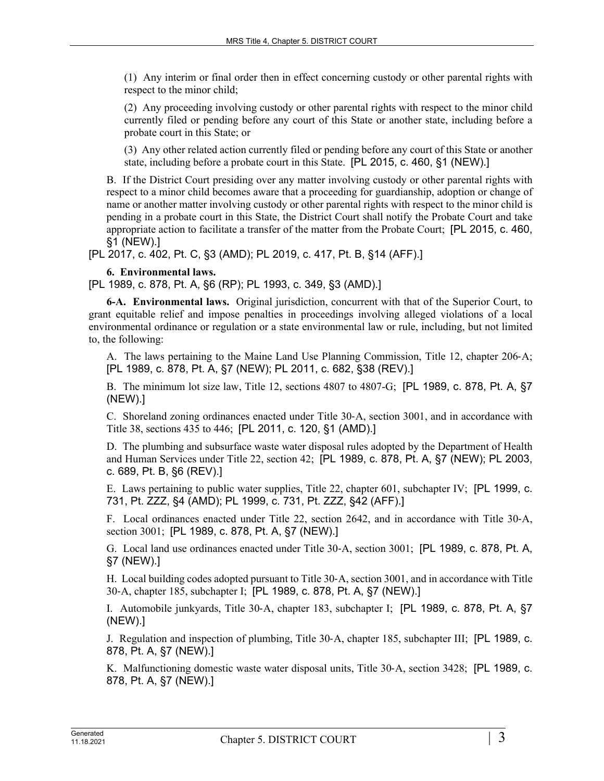(1) Any interim or final order then in effect concerning custody or other parental rights with respect to the minor child;

(2) Any proceeding involving custody or other parental rights with respect to the minor child currently filed or pending before any court of this State or another state, including before a probate court in this State; or

(3) Any other related action currently filed or pending before any court of this State or another state, including before a probate court in this State. [PL 2015, c. 460, §1 (NEW).]

B. If the District Court presiding over any matter involving custody or other parental rights with respect to a minor child becomes aware that a proceeding for guardianship, adoption or change of name or another matter involving custody or other parental rights with respect to the minor child is pending in a probate court in this State, the District Court shall notify the Probate Court and take appropriate action to facilitate a transfer of the matter from the Probate Court; [PL 2015, c. 460, §1 (NEW).]

[PL 2017, c. 402, Pt. C, §3 (AMD); PL 2019, c. 417, Pt. B, §14 (AFF).]

### **6. Environmental laws.**

[PL 1989, c. 878, Pt. A, §6 (RP); PL 1993, c. 349, §3 (AMD).]

**6-A. Environmental laws.** Original jurisdiction, concurrent with that of the Superior Court, to grant equitable relief and impose penalties in proceedings involving alleged violations of a local environmental ordinance or regulation or a state environmental law or rule, including, but not limited to, the following:

A. The laws pertaining to the Maine Land Use Planning Commission, Title 12, chapter 206-A; [PL 1989, c. 878, Pt. A, §7 (NEW); PL 2011, c. 682, §38 (REV).]

B. The minimum lot size law, Title 12, sections 4807 to 4807-G; [PL 1989, c. 878, Pt. A, §7 (NEW).]

C. Shoreland zoning ordinances enacted under Title 30‑A, section 3001, and in accordance with Title 38, sections 435 to 446; [PL 2011, c. 120, §1 (AMD).]

D. The plumbing and subsurface waste water disposal rules adopted by the Department of Health and Human Services under Title 22, section 42; [PL 1989, c. 878, Pt. A, §7 (NEW); PL 2003, c. 689, Pt. B, §6 (REV).]

E. Laws pertaining to public water supplies, Title 22, chapter 601, subchapter IV; [PL 1999, c. 731, Pt. ZZZ, §4 (AMD); PL 1999, c. 731, Pt. ZZZ, §42 (AFF).]

F. Local ordinances enacted under Title 22, section 2642, and in accordance with Title 30‑A, section 3001; [PL 1989, c. 878, Pt. A, §7 (NEW).]

G. Local land use ordinances enacted under Title 30‑A, section 3001; [PL 1989, c. 878, Pt. A, §7 (NEW).]

H. Local building codes adopted pursuant to Title 30‑A, section 3001, and in accordance with Title 30‑A, chapter 185, subchapter I; [PL 1989, c. 878, Pt. A, §7 (NEW).]

I. Automobile junkyards, Title 30‑A, chapter 183, subchapter I; [PL 1989, c. 878, Pt. A, §7 (NEW).]

J. Regulation and inspection of plumbing, Title 30‑A, chapter 185, subchapter III; [PL 1989, c. 878, Pt. A, §7 (NEW).]

K. Malfunctioning domestic waste water disposal units, Title 30-A, section 3428; [PL 1989, c. 878, Pt. A, §7 (NEW).]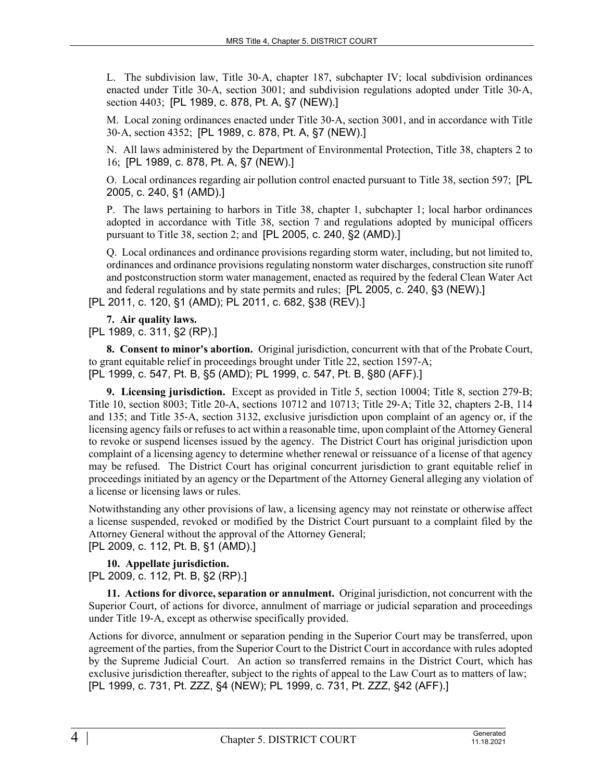L. The subdivision law, Title 30–A, chapter 187, subchapter IV; local subdivision ordinances enacted under Title 30-A, section 3001; and subdivision regulations adopted under Title 30-A, section 4403; [PL 1989, c. 878, Pt. A, §7 (NEW).]

M. Local zoning ordinances enacted under Title 30‑A, section 3001, and in accordance with Title 30‑A, section 4352; [PL 1989, c. 878, Pt. A, §7 (NEW).]

N. All laws administered by the Department of Environmental Protection, Title 38, chapters 2 to 16; [PL 1989, c. 878, Pt. A, §7 (NEW).]

O. Local ordinances regarding air pollution control enacted pursuant to Title 38, section 597; [PL 2005, c. 240, §1 (AMD).]

P. The laws pertaining to harbors in Title 38, chapter 1, subchapter 1; local harbor ordinances adopted in accordance with Title 38, section 7 and regulations adopted by municipal officers pursuant to Title 38, section 2; and [PL 2005, c. 240, §2 (AMD).]

Q. Local ordinances and ordinance provisions regarding storm water, including, but not limited to, ordinances and ordinance provisions regulating nonstorm water discharges, construction site runoff and postconstruction storm water management, enacted as required by the federal Clean Water Act and federal regulations and by state permits and rules; [PL 2005, c. 240, §3 (NEW).] [PL 2011, c. 120, §1 (AMD); PL 2011, c. 682, §38 (REV).]

**7. Air quality laws.** 

[PL 1989, c. 311, §2 (RP).]

**8. Consent to minor's abortion.** Original jurisdiction, concurrent with that of the Probate Court, to grant equitable relief in proceedings brought under Title 22, section 1597‑A; [PL 1999, c. 547, Pt. B, §5 (AMD); PL 1999, c. 547, Pt. B, §80 (AFF).]

**9. Licensing jurisdiction.** Except as provided in Title 5, section 10004; Title 8, section 279‑B; Title 10, section 8003; Title 20-A, sections 10712 and 10713; Title 29‑A; Title 32, chapters 2-B, 114 and 135; and Title 35‑A, section 3132, exclusive jurisdiction upon complaint of an agency or, if the licensing agency fails or refuses to act within a reasonable time, upon complaint of the Attorney General to revoke or suspend licenses issued by the agency. The District Court has original jurisdiction upon complaint of a licensing agency to determine whether renewal or reissuance of a license of that agency may be refused. The District Court has original concurrent jurisdiction to grant equitable relief in proceedings initiated by an agency or the Department of the Attorney General alleging any violation of a license or licensing laws or rules.

Notwithstanding any other provisions of law, a licensing agency may not reinstate or otherwise affect a license suspended, revoked or modified by the District Court pursuant to a complaint filed by the Attorney General without the approval of the Attorney General;

[PL 2009, c. 112, Pt. B, §1 (AMD).]

**10. Appellate jurisdiction.**  [PL 2009, c. 112, Pt. B, §2 (RP).]

**11. Actions for divorce, separation or annulment.** Original jurisdiction, not concurrent with the Superior Court, of actions for divorce, annulment of marriage or judicial separation and proceedings under Title 19‑A, except as otherwise specifically provided.

Actions for divorce, annulment or separation pending in the Superior Court may be transferred, upon agreement of the parties, from the Superior Court to the District Court in accordance with rules adopted by the Supreme Judicial Court. An action so transferred remains in the District Court, which has exclusive jurisdiction thereafter, subject to the rights of appeal to the Law Court as to matters of law; [PL 1999, c. 731, Pt. ZZZ, §4 (NEW); PL 1999, c. 731, Pt. ZZZ, §42 (AFF).]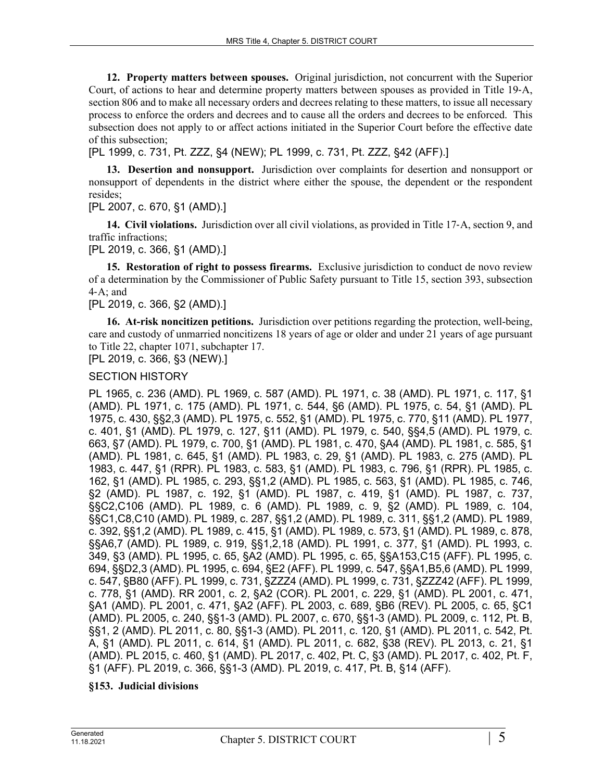**12. Property matters between spouses.** Original jurisdiction, not concurrent with the Superior Court, of actions to hear and determine property matters between spouses as provided in Title 19‑A, section 806 and to make all necessary orders and decrees relating to these matters, to issue all necessary process to enforce the orders and decrees and to cause all the orders and decrees to be enforced. This subsection does not apply to or affect actions initiated in the Superior Court before the effective date of this subsection;

[PL 1999, c. 731, Pt. ZZZ, §4 (NEW); PL 1999, c. 731, Pt. ZZZ, §42 (AFF).]

**13. Desertion and nonsupport.** Jurisdiction over complaints for desertion and nonsupport or nonsupport of dependents in the district where either the spouse, the dependent or the respondent resides;

[PL 2007, c. 670, §1 (AMD).]

**14. Civil violations.** Jurisdiction over all civil violations, as provided in Title 17‑A, section 9, and traffic infractions;

[PL 2019, c. 366, §1 (AMD).]

**15. Restoration of right to possess firearms.** Exclusive jurisdiction to conduct de novo review of a determination by the Commissioner of Public Safety pursuant to Title 15, section 393, subsection  $4-A$ ; and

[PL 2019, c. 366, §2 (AMD).]

**16. At-risk noncitizen petitions.** Jurisdiction over petitions regarding the protection, well-being, care and custody of unmarried noncitizens 18 years of age or older and under 21 years of age pursuant to Title 22, chapter 1071, subchapter 17.

[PL 2019, c. 366, §3 (NEW).]

### SECTION HISTORY

PL 1965, c. 236 (AMD). PL 1969, c. 587 (AMD). PL 1971, c. 38 (AMD). PL 1971, c. 117, §1 (AMD). PL 1971, c. 175 (AMD). PL 1971, c. 544, §6 (AMD). PL 1975, c. 54, §1 (AMD). PL 1975, c. 430, §§2,3 (AMD). PL 1975, c. 552, §1 (AMD). PL 1975, c. 770, §11 (AMD). PL 1977, c. 401, §1 (AMD). PL 1979, c. 127, §11 (AMD). PL 1979, c. 540, §§4,5 (AMD). PL 1979, c. 663, §7 (AMD). PL 1979, c. 700, §1 (AMD). PL 1981, c. 470, §A4 (AMD). PL 1981, c. 585, §1 (AMD). PL 1981, c. 645, §1 (AMD). PL 1983, c. 29, §1 (AMD). PL 1983, c. 275 (AMD). PL 1983, c. 447, §1 (RPR). PL 1983, c. 583, §1 (AMD). PL 1983, c. 796, §1 (RPR). PL 1985, c. 162, §1 (AMD). PL 1985, c. 293, §§1,2 (AMD). PL 1985, c. 563, §1 (AMD). PL 1985, c. 746, §2 (AMD). PL 1987, c. 192, §1 (AMD). PL 1987, c. 419, §1 (AMD). PL 1987, c. 737, §§C2,C106 (AMD). PL 1989, c. 6 (AMD). PL 1989, c. 9, §2 (AMD). PL 1989, c. 104, §§C1,C8,C10 (AMD). PL 1989, c. 287, §§1,2 (AMD). PL 1989, c. 311, §§1,2 (AMD). PL 1989, c. 392, §§1,2 (AMD). PL 1989, c. 415, §1 (AMD). PL 1989, c. 573, §1 (AMD). PL 1989, c. 878, §§A6,7 (AMD). PL 1989, c. 919, §§1,2,18 (AMD). PL 1991, c. 377, §1 (AMD). PL 1993, c. 349, §3 (AMD). PL 1995, c. 65, §A2 (AMD). PL 1995, c. 65, §§A153,C15 (AFF). PL 1995, c. 694, §§D2,3 (AMD). PL 1995, c. 694, §E2 (AFF). PL 1999, c. 547, §§A1,B5,6 (AMD). PL 1999, c. 547, §B80 (AFF). PL 1999, c. 731, §ZZZ4 (AMD). PL 1999, c. 731, §ZZZ42 (AFF). PL 1999, c. 778, §1 (AMD). RR 2001, c. 2, §A2 (COR). PL 2001, c. 229, §1 (AMD). PL 2001, c. 471, §A1 (AMD). PL 2001, c. 471, §A2 (AFF). PL 2003, c. 689, §B6 (REV). PL 2005, c. 65, §C1 (AMD). PL 2005, c. 240, §§1-3 (AMD). PL 2007, c. 670, §§1-3 (AMD). PL 2009, c. 112, Pt. B, §§1, 2 (AMD). PL 2011, c. 80, §§1-3 (AMD). PL 2011, c. 120, §1 (AMD). PL 2011, c. 542, Pt. A, §1 (AMD). PL 2011, c. 614, §1 (AMD). PL 2011, c. 682, §38 (REV). PL 2013, c. 21, §1 (AMD). PL 2015, c. 460, §1 (AMD). PL 2017, c. 402, Pt. C, §3 (AMD). PL 2017, c. 402, Pt. F, §1 (AFF). PL 2019, c. 366, §§1-3 (AMD). PL 2019, c. 417, Pt. B, §14 (AFF).

# **§153. Judicial divisions**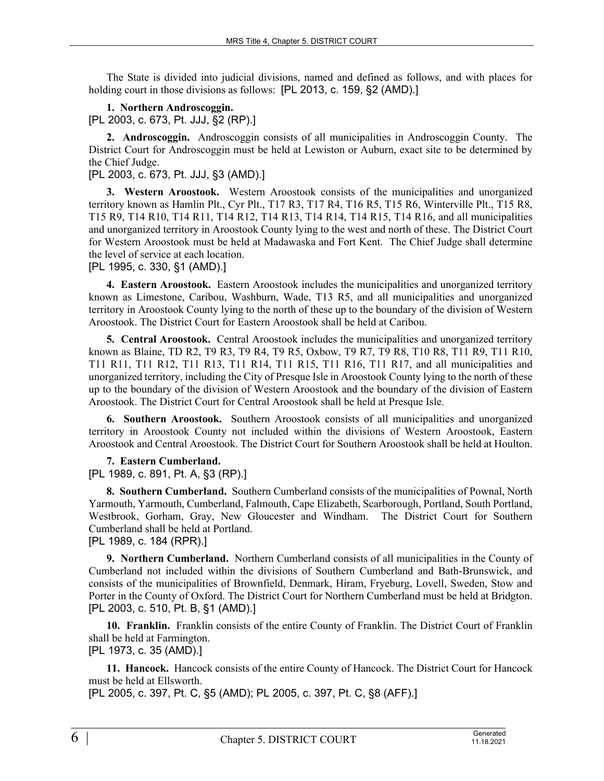The State is divided into judicial divisions, named and defined as follows, and with places for holding court in those divisions as follows: [PL 2013, c. 159, §2 (AMD).]

**1. Northern Androscoggin.** 

[PL 2003, c. 673, Pt. JJJ, §2 (RP).]

**2. Androscoggin.** Androscoggin consists of all municipalities in Androscoggin County. The District Court for Androscoggin must be held at Lewiston or Auburn, exact site to be determined by the Chief Judge.

[PL 2003, c. 673, Pt. JJJ, §3 (AMD).]

**3. Western Aroostook.** Western Aroostook consists of the municipalities and unorganized territory known as Hamlin Plt., Cyr Plt., T17 R3, T17 R4, T16 R5, T15 R6, Winterville Plt., T15 R8, T15 R9, T14 R10, T14 R11, T14 R12, T14 R13, T14 R14, T14 R15, T14 R16, and all municipalities and unorganized territory in Aroostook County lying to the west and north of these. The District Court for Western Aroostook must be held at Madawaska and Fort Kent. The Chief Judge shall determine the level of service at each location.

[PL 1995, c. 330, §1 (AMD).]

**4. Eastern Aroostook.** Eastern Aroostook includes the municipalities and unorganized territory known as Limestone, Caribou, Washburn, Wade, T13 R5, and all municipalities and unorganized territory in Aroostook County lying to the north of these up to the boundary of the division of Western Aroostook. The District Court for Eastern Aroostook shall be held at Caribou.

**5. Central Aroostook.** Central Aroostook includes the municipalities and unorganized territory known as Blaine, TD R2, T9 R3, T9 R4, T9 R5, Oxbow, T9 R7, T9 R8, T10 R8, T11 R9, T11 R10, T11 R11, T11 R12, T11 R13, T11 R14, T11 R15, T11 R16, T11 R17, and all municipalities and unorganized territory, including the City of Presque Isle in Aroostook County lying to the north of these up to the boundary of the division of Western Aroostook and the boundary of the division of Eastern Aroostook. The District Court for Central Aroostook shall be held at Presque Isle.

**6. Southern Aroostook.** Southern Aroostook consists of all municipalities and unorganized territory in Aroostook County not included within the divisions of Western Aroostook, Eastern Aroostook and Central Aroostook. The District Court for Southern Aroostook shall be held at Houlton.

**7. Eastern Cumberland.** 

[PL 1989, c. 891, Pt. A, §3 (RP).]

**8. Southern Cumberland.** Southern Cumberland consists of the municipalities of Pownal, North Yarmouth, Yarmouth, Cumberland, Falmouth, Cape Elizabeth, Scarborough, Portland, South Portland, Westbrook, Gorham, Gray, New Gloucester and Windham. The District Court for Southern Cumberland shall be held at Portland.

[PL 1989, c. 184 (RPR).]

**9. Northern Cumberland.** Northern Cumberland consists of all municipalities in the County of Cumberland not included within the divisions of Southern Cumberland and Bath-Brunswick, and consists of the municipalities of Brownfield, Denmark, Hiram, Fryeburg, Lovell, Sweden, Stow and Porter in the County of Oxford. The District Court for Northern Cumberland must be held at Bridgton. [PL 2003, c. 510, Pt. B, §1 (AMD).]

**10. Franklin.** Franklin consists of the entire County of Franklin. The District Court of Franklin shall be held at Farmington.

[PL 1973, c. 35 (AMD).]

**11. Hancock.** Hancock consists of the entire County of Hancock. The District Court for Hancock must be held at Ellsworth.

[PL 2005, c. 397, Pt. C, §5 (AMD); PL 2005, c. 397, Pt. C, §8 (AFF).]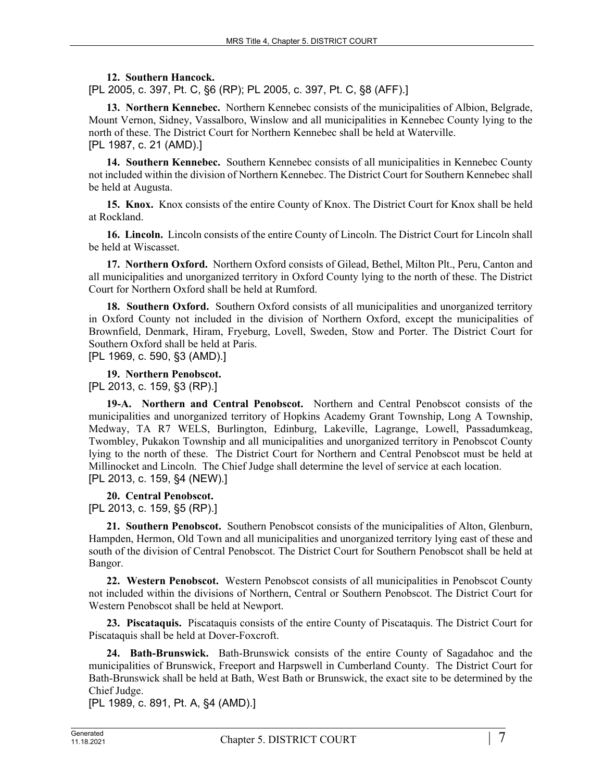**12. Southern Hancock.** 

[PL 2005, c. 397, Pt. C, §6 (RP); PL 2005, c. 397, Pt. C, §8 (AFF).]

**13. Northern Kennebec.** Northern Kennebec consists of the municipalities of Albion, Belgrade, Mount Vernon, Sidney, Vassalboro, Winslow and all municipalities in Kennebec County lying to the north of these. The District Court for Northern Kennebec shall be held at Waterville. [PL 1987, c. 21 (AMD).]

**14. Southern Kennebec.** Southern Kennebec consists of all municipalities in Kennebec County not included within the division of Northern Kennebec. The District Court for Southern Kennebec shall be held at Augusta.

**15. Knox.** Knox consists of the entire County of Knox. The District Court for Knox shall be held at Rockland.

**16. Lincoln.** Lincoln consists of the entire County of Lincoln. The District Court for Lincoln shall be held at Wiscasset.

**17. Northern Oxford.** Northern Oxford consists of Gilead, Bethel, Milton Plt., Peru, Canton and all municipalities and unorganized territory in Oxford County lying to the north of these. The District Court for Northern Oxford shall be held at Rumford.

**18. Southern Oxford.** Southern Oxford consists of all municipalities and unorganized territory in Oxford County not included in the division of Northern Oxford, except the municipalities of Brownfield, Denmark, Hiram, Fryeburg, Lovell, Sweden, Stow and Porter. The District Court for Southern Oxford shall be held at Paris.

[PL 1969, c. 590, §3 (AMD).]

**19. Northern Penobscot.**  [PL 2013, c. 159, §3 (RP).]

**19-A. Northern and Central Penobscot.** Northern and Central Penobscot consists of the municipalities and unorganized territory of Hopkins Academy Grant Township, Long A Township, Medway, TA R7 WELS, Burlington, Edinburg, Lakeville, Lagrange, Lowell, Passadumkeag, Twombley, Pukakon Township and all municipalities and unorganized territory in Penobscot County lying to the north of these. The District Court for Northern and Central Penobscot must be held at Millinocket and Lincoln. The Chief Judge shall determine the level of service at each location. [PL 2013, c. 159, §4 (NEW).]

**20. Central Penobscot.** 

[PL 2013, c. 159, §5 (RP).]

**21. Southern Penobscot.** Southern Penobscot consists of the municipalities of Alton, Glenburn, Hampden, Hermon, Old Town and all municipalities and unorganized territory lying east of these and south of the division of Central Penobscot. The District Court for Southern Penobscot shall be held at Bangor.

**22. Western Penobscot.** Western Penobscot consists of all municipalities in Penobscot County not included within the divisions of Northern, Central or Southern Penobscot. The District Court for Western Penobscot shall be held at Newport.

**23. Piscataquis.** Piscataquis consists of the entire County of Piscataquis. The District Court for Piscataquis shall be held at Dover-Foxcroft.

**24. Bath-Brunswick.** Bath-Brunswick consists of the entire County of Sagadahoc and the municipalities of Brunswick, Freeport and Harpswell in Cumberland County. The District Court for Bath-Brunswick shall be held at Bath, West Bath or Brunswick, the exact site to be determined by the Chief Judge.

[PL 1989, c. 891, Pt. A, §4 (AMD).]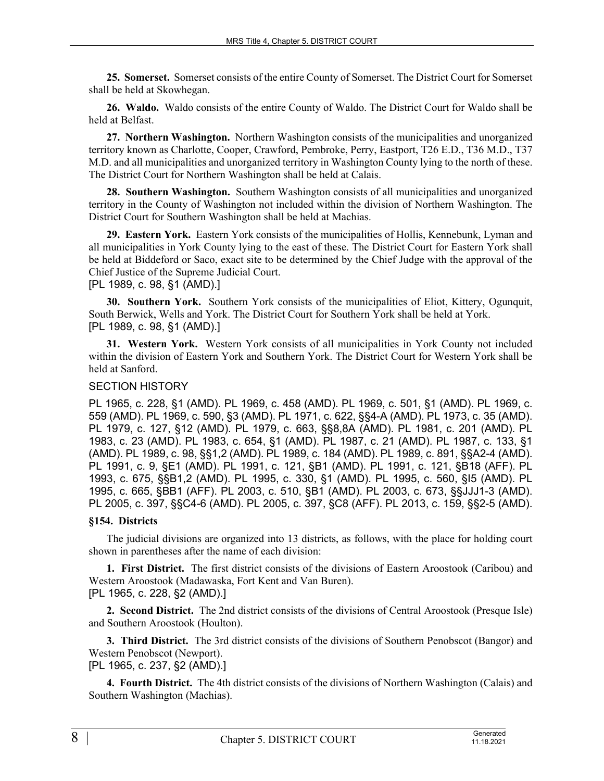**25. Somerset.** Somerset consists of the entire County of Somerset. The District Court for Somerset shall be held at Skowhegan.

**26. Waldo.** Waldo consists of the entire County of Waldo. The District Court for Waldo shall be held at Belfast.

**27. Northern Washington.** Northern Washington consists of the municipalities and unorganized territory known as Charlotte, Cooper, Crawford, Pembroke, Perry, Eastport, T26 E.D., T36 M.D., T37 M.D. and all municipalities and unorganized territory in Washington County lying to the north of these. The District Court for Northern Washington shall be held at Calais.

**28. Southern Washington.** Southern Washington consists of all municipalities and unorganized territory in the County of Washington not included within the division of Northern Washington. The District Court for Southern Washington shall be held at Machias.

**29. Eastern York.** Eastern York consists of the municipalities of Hollis, Kennebunk, Lyman and all municipalities in York County lying to the east of these. The District Court for Eastern York shall be held at Biddeford or Saco, exact site to be determined by the Chief Judge with the approval of the Chief Justice of the Supreme Judicial Court.

[PL 1989, c. 98, §1 (AMD).]

**30. Southern York.** Southern York consists of the municipalities of Eliot, Kittery, Ogunquit, South Berwick, Wells and York. The District Court for Southern York shall be held at York. [PL 1989, c. 98, §1 (AMD).]

**31. Western York.** Western York consists of all municipalities in York County not included within the division of Eastern York and Southern York. The District Court for Western York shall be held at Sanford.

### SECTION HISTORY

PL 1965, c. 228, §1 (AMD). PL 1969, c. 458 (AMD). PL 1969, c. 501, §1 (AMD). PL 1969, c. 559 (AMD). PL 1969, c. 590, §3 (AMD). PL 1971, c. 622, §§4-A (AMD). PL 1973, c. 35 (AMD). PL 1979, c. 127, §12 (AMD). PL 1979, c. 663, §§8,8A (AMD). PL 1981, c. 201 (AMD). PL 1983, c. 23 (AMD). PL 1983, c. 654, §1 (AMD). PL 1987, c. 21 (AMD). PL 1987, c. 133, §1 (AMD). PL 1989, c. 98, §§1,2 (AMD). PL 1989, c. 184 (AMD). PL 1989, c. 891, §§A2-4 (AMD). PL 1991, c. 9, §E1 (AMD). PL 1991, c. 121, §B1 (AMD). PL 1991, c. 121, §B18 (AFF). PL 1993, c. 675, §§B1,2 (AMD). PL 1995, c. 330, §1 (AMD). PL 1995, c. 560, §I5 (AMD). PL 1995, c. 665, §BB1 (AFF). PL 2003, c. 510, §B1 (AMD). PL 2003, c. 673, §§JJJ1-3 (AMD). PL 2005, c. 397, §§C4-6 (AMD). PL 2005, c. 397, §C8 (AFF). PL 2013, c. 159, §§2-5 (AMD).

### **§154. Districts**

The judicial divisions are organized into 13 districts, as follows, with the place for holding court shown in parentheses after the name of each division:

**1. First District.** The first district consists of the divisions of Eastern Aroostook (Caribou) and Western Aroostook (Madawaska, Fort Kent and Van Buren). [PL 1965, c. 228, §2 (AMD).]

**2. Second District.** The 2nd district consists of the divisions of Central Aroostook (Presque Isle) and Southern Aroostook (Houlton).

**3. Third District.** The 3rd district consists of the divisions of Southern Penobscot (Bangor) and Western Penobscot (Newport).

[PL 1965, c. 237, §2 (AMD).]

**4. Fourth District.** The 4th district consists of the divisions of Northern Washington (Calais) and Southern Washington (Machias).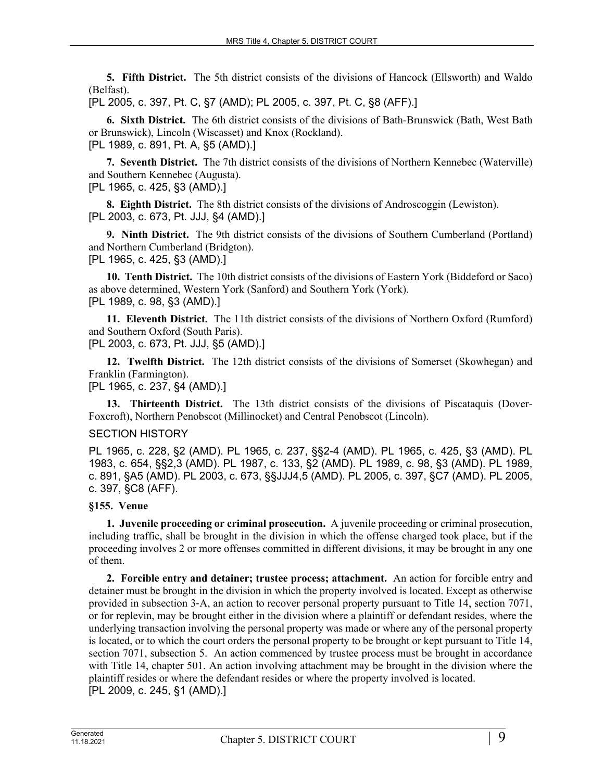**5. Fifth District.** The 5th district consists of the divisions of Hancock (Ellsworth) and Waldo (Belfast).

[PL 2005, c. 397, Pt. C, §7 (AMD); PL 2005, c. 397, Pt. C, §8 (AFF).]

**6. Sixth District.** The 6th district consists of the divisions of Bath-Brunswick (Bath, West Bath or Brunswick), Lincoln (Wiscasset) and Knox (Rockland). [PL 1989, c. 891, Pt. A, §5 (AMD).]

**7. Seventh District.** The 7th district consists of the divisions of Northern Kennebec (Waterville) and Southern Kennebec (Augusta).

[PL 1965, c. 425, §3 (AMD).]

**8. Eighth District.** The 8th district consists of the divisions of Androscoggin (Lewiston). [PL 2003, c. 673, Pt. JJJ, §4 (AMD).]

**9. Ninth District.** The 9th district consists of the divisions of Southern Cumberland (Portland) and Northern Cumberland (Bridgton).

[PL 1965, c. 425, §3 (AMD).]

**10. Tenth District.** The 10th district consists of the divisions of Eastern York (Biddeford or Saco) as above determined, Western York (Sanford) and Southern York (York). [PL 1989, c. 98, §3 (AMD).]

**11. Eleventh District.** The 11th district consists of the divisions of Northern Oxford (Rumford) and Southern Oxford (South Paris).

[PL 2003, c. 673, Pt. JJJ, §5 (AMD).]

**12. Twelfth District.** The 12th district consists of the divisions of Somerset (Skowhegan) and Franklin (Farmington).

[PL 1965, c. 237, §4 (AMD).]

**13. Thirteenth District.** The 13th district consists of the divisions of Piscataquis (Dover-Foxcroft), Northern Penobscot (Millinocket) and Central Penobscot (Lincoln).

# SECTION HISTORY

PL 1965, c. 228, §2 (AMD). PL 1965, c. 237, §§2-4 (AMD). PL 1965, c. 425, §3 (AMD). PL 1983, c. 654, §§2,3 (AMD). PL 1987, c. 133, §2 (AMD). PL 1989, c. 98, §3 (AMD). PL 1989, c. 891, §A5 (AMD). PL 2003, c. 673, §§JJJ4,5 (AMD). PL 2005, c. 397, §C7 (AMD). PL 2005, c. 397, §C8 (AFF).

# **§155. Venue**

**1. Juvenile proceeding or criminal prosecution.** A juvenile proceeding or criminal prosecution, including traffic, shall be brought in the division in which the offense charged took place, but if the proceeding involves 2 or more offenses committed in different divisions, it may be brought in any one of them.

**2. Forcible entry and detainer; trustee process; attachment.** An action for forcible entry and detainer must be brought in the division in which the property involved is located. Except as otherwise provided in subsection 3‑A, an action to recover personal property pursuant to Title 14, section 7071, or for replevin, may be brought either in the division where a plaintiff or defendant resides, where the underlying transaction involving the personal property was made or where any of the personal property is located, or to which the court orders the personal property to be brought or kept pursuant to Title 14, section 7071, subsection 5. An action commenced by trustee process must be brought in accordance with Title 14, chapter 501. An action involving attachment may be brought in the division where the plaintiff resides or where the defendant resides or where the property involved is located. [PL 2009, c. 245, §1 (AMD).]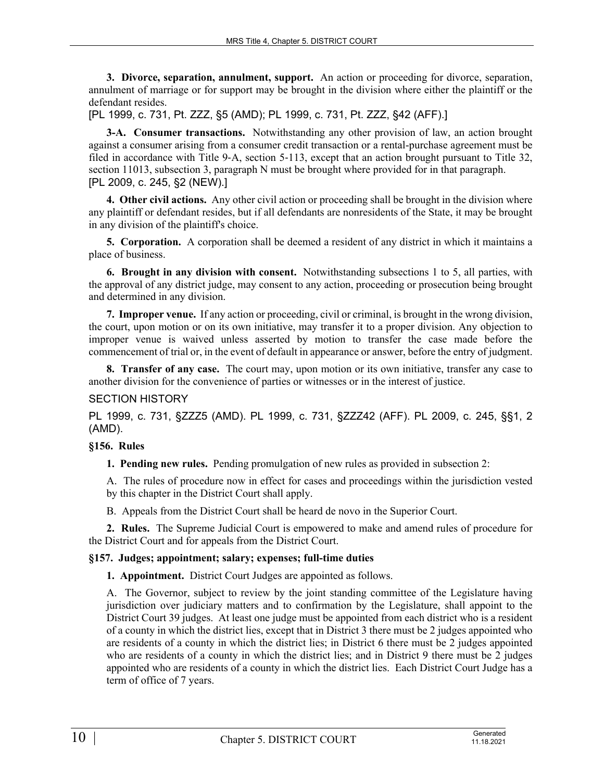**3. Divorce, separation, annulment, support.** An action or proceeding for divorce, separation, annulment of marriage or for support may be brought in the division where either the plaintiff or the defendant resides.

[PL 1999, c. 731, Pt. ZZZ, §5 (AMD); PL 1999, c. 731, Pt. ZZZ, §42 (AFF).]

**3-A. Consumer transactions.** Notwithstanding any other provision of law, an action brought against a consumer arising from a consumer credit transaction or a rental-purchase agreement must be filed in accordance with Title 9‑A, section 5‑113, except that an action brought pursuant to Title 32, section 11013, subsection 3, paragraph N must be brought where provided for in that paragraph. [PL 2009, c. 245, §2 (NEW).]

**4. Other civil actions.** Any other civil action or proceeding shall be brought in the division where any plaintiff or defendant resides, but if all defendants are nonresidents of the State, it may be brought in any division of the plaintiff's choice.

**5. Corporation.** A corporation shall be deemed a resident of any district in which it maintains a place of business.

**6. Brought in any division with consent.** Notwithstanding subsections 1 to 5, all parties, with the approval of any district judge, may consent to any action, proceeding or prosecution being brought and determined in any division.

**7. Improper venue.** If any action or proceeding, civil or criminal, is brought in the wrong division, the court, upon motion or on its own initiative, may transfer it to a proper division. Any objection to improper venue is waived unless asserted by motion to transfer the case made before the commencement of trial or, in the event of default in appearance or answer, before the entry of judgment.

**8. Transfer of any case.** The court may, upon motion or its own initiative, transfer any case to another division for the convenience of parties or witnesses or in the interest of justice.

# SECTION HISTORY

PL 1999, c. 731, §ZZZ5 (AMD). PL 1999, c. 731, §ZZZ42 (AFF). PL 2009, c. 245, §§1, 2 (AMD).

# **§156. Rules**

**1. Pending new rules.** Pending promulgation of new rules as provided in subsection 2:

A. The rules of procedure now in effect for cases and proceedings within the jurisdiction vested by this chapter in the District Court shall apply.

B. Appeals from the District Court shall be heard de novo in the Superior Court.

**2. Rules.** The Supreme Judicial Court is empowered to make and amend rules of procedure for the District Court and for appeals from the District Court.

# **§157. Judges; appointment; salary; expenses; full-time duties**

**1. Appointment.** District Court Judges are appointed as follows.

A. The Governor, subject to review by the joint standing committee of the Legislature having jurisdiction over judiciary matters and to confirmation by the Legislature, shall appoint to the District Court 39 judges. At least one judge must be appointed from each district who is a resident of a county in which the district lies, except that in District 3 there must be 2 judges appointed who are residents of a county in which the district lies; in District 6 there must be 2 judges appointed who are residents of a county in which the district lies; and in District 9 there must be 2 judges appointed who are residents of a county in which the district lies. Each District Court Judge has a term of office of 7 years.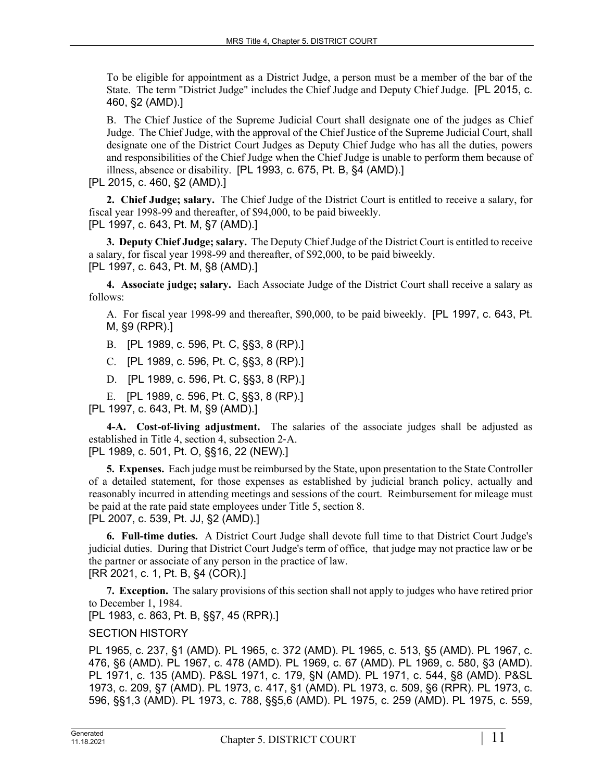To be eligible for appointment as a District Judge, a person must be a member of the bar of the State. The term "District Judge" includes the Chief Judge and Deputy Chief Judge. [PL 2015, c. 460, §2 (AMD).]

B. The Chief Justice of the Supreme Judicial Court shall designate one of the judges as Chief Judge. The Chief Judge, with the approval of the Chief Justice of the Supreme Judicial Court, shall designate one of the District Court Judges as Deputy Chief Judge who has all the duties, powers and responsibilities of the Chief Judge when the Chief Judge is unable to perform them because of illness, absence or disability. [PL 1993, c. 675, Pt. B, §4 (AMD).]

[PL 2015, c. 460, §2 (AMD).]

**2. Chief Judge; salary.** The Chief Judge of the District Court is entitled to receive a salary, for fiscal year 1998-99 and thereafter, of \$94,000, to be paid biweekly. [PL 1997, c. 643, Pt. M, §7 (AMD).]

**3. Deputy Chief Judge; salary.** The Deputy Chief Judge of the District Court is entitled to receive a salary, for fiscal year 1998-99 and thereafter, of \$92,000, to be paid biweekly. [PL 1997, c. 643, Pt. M, §8 (AMD).]

**4. Associate judge; salary.** Each Associate Judge of the District Court shall receive a salary as follows:

A. For fiscal year 1998-99 and thereafter, \$90,000, to be paid biweekly. [PL 1997, c. 643, Pt. M, §9 (RPR).]

B. [PL 1989, c. 596, Pt. C, §§3, 8 (RP).]

C. [PL 1989, c. 596, Pt. C, §§3, 8 (RP).]

D. [PL 1989, c. 596, Pt. C, §§3, 8 (RP).]

E. [PL 1989, c. 596, Pt. C, §§3, 8 (RP).]

[PL 1997, c. 643, Pt. M, §9 (AMD).]

**4-A. Cost-of-living adjustment.** The salaries of the associate judges shall be adjusted as established in Title 4, section 4, subsection 2‑A. [PL 1989, c. 501, Pt. O, §§16, 22 (NEW).]

**5. Expenses.** Each judge must be reimbursed by the State, upon presentation to the State Controller of a detailed statement, for those expenses as established by judicial branch policy, actually and reasonably incurred in attending meetings and sessions of the court. Reimbursement for mileage must be paid at the rate paid state employees under Title 5, section 8. [PL 2007, c. 539, Pt. JJ, §2 (AMD).]

**6. Full-time duties.** A District Court Judge shall devote full time to that District Court Judge's judicial duties. During that District Court Judge's term of office, that judge may not practice law or be the partner or associate of any person in the practice of law. [RR 2021, c. 1, Pt. B, §4 (COR).]

**7. Exception.** The salary provisions of this section shall not apply to judges who have retired prior to December 1, 1984.

[PL 1983, c. 863, Pt. B, §§7, 45 (RPR).]

### SECTION HISTORY

PL 1965, c. 237, §1 (AMD). PL 1965, c. 372 (AMD). PL 1965, c. 513, §5 (AMD). PL 1967, c. 476, §6 (AMD). PL 1967, c. 478 (AMD). PL 1969, c. 67 (AMD). PL 1969, c. 580, §3 (AMD). PL 1971, c. 135 (AMD). P&SL 1971, c. 179, §N (AMD). PL 1971, c. 544, §8 (AMD). P&SL 1973, c. 209, §7 (AMD). PL 1973, c. 417, §1 (AMD). PL 1973, c. 509, §6 (RPR). PL 1973, c. 596, §§1,3 (AMD). PL 1973, c. 788, §§5,6 (AMD). PL 1975, c. 259 (AMD). PL 1975, c. 559,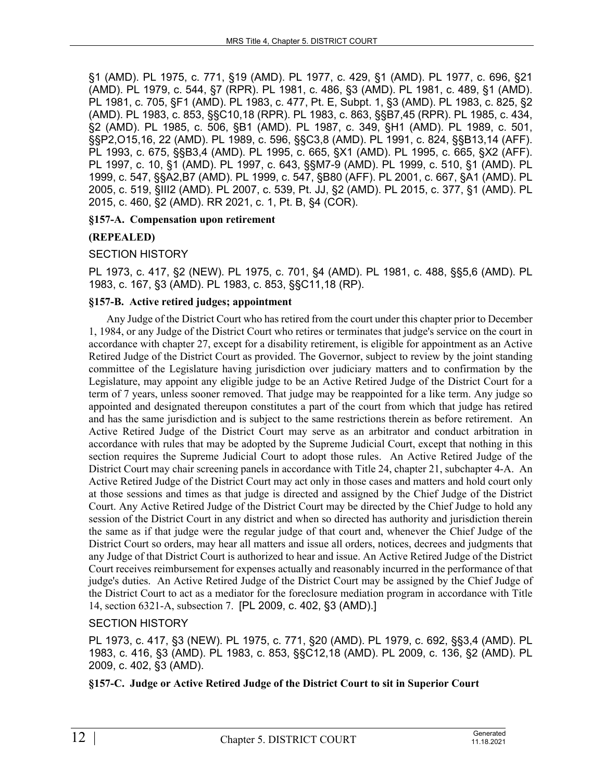§1 (AMD). PL 1975, c. 771, §19 (AMD). PL 1977, c. 429, §1 (AMD). PL 1977, c. 696, §21 (AMD). PL 1979, c. 544, §7 (RPR). PL 1981, c. 486, §3 (AMD). PL 1981, c. 489, §1 (AMD). PL 1981, c. 705, §F1 (AMD). PL 1983, c. 477, Pt. E, Subpt. 1, §3 (AMD). PL 1983, c. 825, §2 (AMD). PL 1983, c. 853, §§C10,18 (RPR). PL 1983, c. 863, §§B7,45 (RPR). PL 1985, c. 434, §2 (AMD). PL 1985, c. 506, §B1 (AMD). PL 1987, c. 349, §H1 (AMD). PL 1989, c. 501, §§P2,O15,16, 22 (AMD). PL 1989, c. 596, §§C3,8 (AMD). PL 1991, c. 824, §§B13,14 (AFF). PL 1993, c. 675, §§B3,4 (AMD). PL 1995, c. 665, §X1 (AMD). PL 1995, c. 665, §X2 (AFF). PL 1997, c. 10, §1 (AMD). PL 1997, c. 643, §§M7-9 (AMD). PL 1999, c. 510, §1 (AMD). PL 1999, c. 547, §§A2,B7 (AMD). PL 1999, c. 547, §B80 (AFF). PL 2001, c. 667, §A1 (AMD). PL 2005, c. 519, §III2 (AMD). PL 2007, c. 539, Pt. JJ, §2 (AMD). PL 2015, c. 377, §1 (AMD). PL 2015, c. 460, §2 (AMD). RR 2021, c. 1, Pt. B, §4 (COR).

### **§157-A. Compensation upon retirement**

### **(REPEALED)**

### SECTION HISTORY

PL 1973, c. 417, §2 (NEW). PL 1975, c. 701, §4 (AMD). PL 1981, c. 488, §§5,6 (AMD). PL 1983, c. 167, §3 (AMD). PL 1983, c. 853, §§C11,18 (RP).

### **§157-B. Active retired judges; appointment**

Any Judge of the District Court who has retired from the court under this chapter prior to December 1, 1984, or any Judge of the District Court who retires or terminates that judge's service on the court in accordance with chapter 27, except for a disability retirement, is eligible for appointment as an Active Retired Judge of the District Court as provided. The Governor, subject to review by the joint standing committee of the Legislature having jurisdiction over judiciary matters and to confirmation by the Legislature, may appoint any eligible judge to be an Active Retired Judge of the District Court for a term of 7 years, unless sooner removed. That judge may be reappointed for a like term. Any judge so appointed and designated thereupon constitutes a part of the court from which that judge has retired and has the same jurisdiction and is subject to the same restrictions therein as before retirement. An Active Retired Judge of the District Court may serve as an arbitrator and conduct arbitration in accordance with rules that may be adopted by the Supreme Judicial Court, except that nothing in this section requires the Supreme Judicial Court to adopt those rules. An Active Retired Judge of the District Court may chair screening panels in accordance with Title 24, chapter 21, subchapter 4-A. An Active Retired Judge of the District Court may act only in those cases and matters and hold court only at those sessions and times as that judge is directed and assigned by the Chief Judge of the District Court. Any Active Retired Judge of the District Court may be directed by the Chief Judge to hold any session of the District Court in any district and when so directed has authority and jurisdiction therein the same as if that judge were the regular judge of that court and, whenever the Chief Judge of the District Court so orders, may hear all matters and issue all orders, notices, decrees and judgments that any Judge of that District Court is authorized to hear and issue. An Active Retired Judge of the District Court receives reimbursement for expenses actually and reasonably incurred in the performance of that judge's duties. An Active Retired Judge of the District Court may be assigned by the Chief Judge of the District Court to act as a mediator for the foreclosure mediation program in accordance with Title 14, section 6321-A, subsection 7. [PL 2009, c. 402, §3 (AMD).]

# SECTION HISTORY

PL 1973, c. 417, §3 (NEW). PL 1975, c. 771, §20 (AMD). PL 1979, c. 692, §§3,4 (AMD). PL 1983, c. 416, §3 (AMD). PL 1983, c. 853, §§C12,18 (AMD). PL 2009, c. 136, §2 (AMD). PL 2009, c. 402, §3 (AMD).

**§157-C. Judge or Active Retired Judge of the District Court to sit in Superior Court**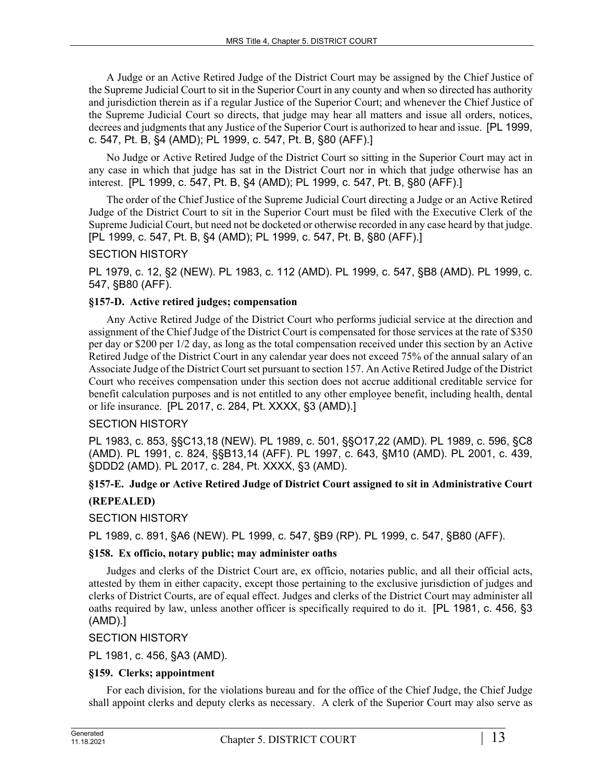A Judge or an Active Retired Judge of the District Court may be assigned by the Chief Justice of the Supreme Judicial Court to sit in the Superior Court in any county and when so directed has authority and jurisdiction therein as if a regular Justice of the Superior Court; and whenever the Chief Justice of the Supreme Judicial Court so directs, that judge may hear all matters and issue all orders, notices, decrees and judgments that any Justice of the Superior Court is authorized to hear and issue. [PL 1999, c. 547, Pt. B, §4 (AMD); PL 1999, c. 547, Pt. B, §80 (AFF).]

No Judge or Active Retired Judge of the District Court so sitting in the Superior Court may act in any case in which that judge has sat in the District Court nor in which that judge otherwise has an interest. [PL 1999, c. 547, Pt. B, §4 (AMD); PL 1999, c. 547, Pt. B, §80 (AFF).]

The order of the Chief Justice of the Supreme Judicial Court directing a Judge or an Active Retired Judge of the District Court to sit in the Superior Court must be filed with the Executive Clerk of the Supreme Judicial Court, but need not be docketed or otherwise recorded in any case heard by that judge. [PL 1999, c. 547, Pt. B, §4 (AMD); PL 1999, c. 547, Pt. B, §80 (AFF).]

# SECTION HISTORY

PL 1979, c. 12, §2 (NEW). PL 1983, c. 112 (AMD). PL 1999, c. 547, §B8 (AMD). PL 1999, c. 547, §B80 (AFF).

### **§157-D. Active retired judges; compensation**

Any Active Retired Judge of the District Court who performs judicial service at the direction and assignment of the Chief Judge of the District Court is compensated for those services at the rate of \$350 per day or \$200 per 1/2 day, as long as the total compensation received under this section by an Active Retired Judge of the District Court in any calendar year does not exceed 75% of the annual salary of an Associate Judge of the District Court set pursuant to section 157. An Active Retired Judge of the District Court who receives compensation under this section does not accrue additional creditable service for benefit calculation purposes and is not entitled to any other employee benefit, including health, dental or life insurance. [PL 2017, c. 284, Pt. XXXX, §3 (AMD).]

### SECTION HISTORY

PL 1983, c. 853, §§C13,18 (NEW). PL 1989, c. 501, §§O17,22 (AMD). PL 1989, c. 596, §C8 (AMD). PL 1991, c. 824, §§B13,14 (AFF). PL 1997, c. 643, §M10 (AMD). PL 2001, c. 439, §DDD2 (AMD). PL 2017, c. 284, Pt. XXXX, §3 (AMD).

# **§157-E. Judge or Active Retired Judge of District Court assigned to sit in Administrative Court**

# **(REPEALED)**

### SECTION HISTORY

PL 1989, c. 891, §A6 (NEW). PL 1999, c. 547, §B9 (RP). PL 1999, c. 547, §B80 (AFF).

### **§158. Ex officio, notary public; may administer oaths**

Judges and clerks of the District Court are, ex officio, notaries public, and all their official acts, attested by them in either capacity, except those pertaining to the exclusive jurisdiction of judges and clerks of District Courts, are of equal effect. Judges and clerks of the District Court may administer all oaths required by law, unless another officer is specifically required to do it. [PL 1981, c. 456, §3 (AMD).]

### SECTION HISTORY

PL 1981, c. 456, §A3 (AMD).

### **§159. Clerks; appointment**

For each division, for the violations bureau and for the office of the Chief Judge, the Chief Judge shall appoint clerks and deputy clerks as necessary. A clerk of the Superior Court may also serve as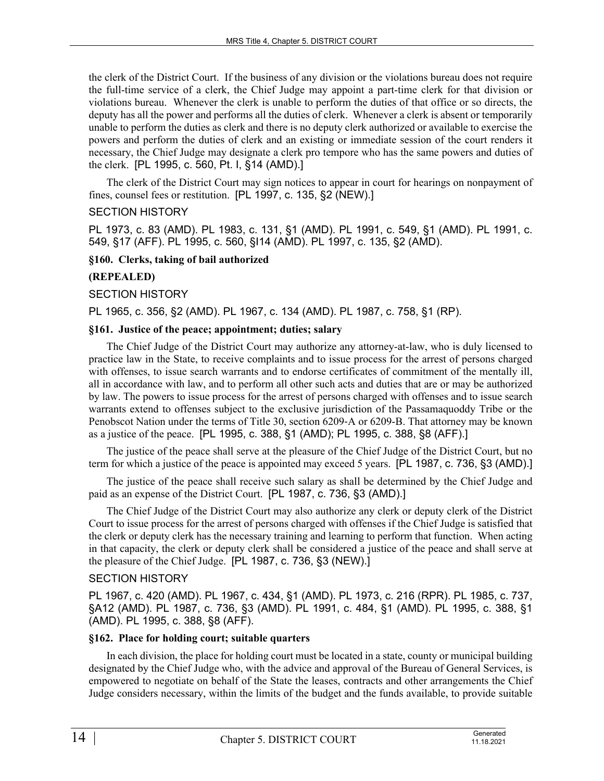the clerk of the District Court. If the business of any division or the violations bureau does not require the full-time service of a clerk, the Chief Judge may appoint a part-time clerk for that division or violations bureau. Whenever the clerk is unable to perform the duties of that office or so directs, the deputy has all the power and performs all the duties of clerk. Whenever a clerk is absent or temporarily unable to perform the duties as clerk and there is no deputy clerk authorized or available to exercise the powers and perform the duties of clerk and an existing or immediate session of the court renders it necessary, the Chief Judge may designate a clerk pro tempore who has the same powers and duties of the clerk. [PL 1995, c. 560, Pt. I, §14 (AMD).]

The clerk of the District Court may sign notices to appear in court for hearings on nonpayment of fines, counsel fees or restitution. [PL 1997, c. 135, §2 (NEW).]

### SECTION HISTORY

PL 1973, c. 83 (AMD). PL 1983, c. 131, §1 (AMD). PL 1991, c. 549, §1 (AMD). PL 1991, c. 549, §17 (AFF). PL 1995, c. 560, §I14 (AMD). PL 1997, c. 135, §2 (AMD).

### **§160. Clerks, taking of bail authorized**

### **(REPEALED)**

#### SECTION HISTORY

PL 1965, c. 356, §2 (AMD). PL 1967, c. 134 (AMD). PL 1987, c. 758, §1 (RP).

#### **§161. Justice of the peace; appointment; duties; salary**

The Chief Judge of the District Court may authorize any attorney-at-law, who is duly licensed to practice law in the State, to receive complaints and to issue process for the arrest of persons charged with offenses, to issue search warrants and to endorse certificates of commitment of the mentally ill, all in accordance with law, and to perform all other such acts and duties that are or may be authorized by law. The powers to issue process for the arrest of persons charged with offenses and to issue search warrants extend to offenses subject to the exclusive jurisdiction of the Passamaquoddy Tribe or the Penobscot Nation under the terms of Title 30, section 6209‑A or 6209-B. That attorney may be known as a justice of the peace. [PL 1995, c. 388, §1 (AMD); PL 1995, c. 388, §8 (AFF).]

The justice of the peace shall serve at the pleasure of the Chief Judge of the District Court, but no term for which a justice of the peace is appointed may exceed 5 years. [PL 1987, c. 736, §3 (AMD).]

The justice of the peace shall receive such salary as shall be determined by the Chief Judge and paid as an expense of the District Court. [PL 1987, c. 736, §3 (AMD).]

The Chief Judge of the District Court may also authorize any clerk or deputy clerk of the District Court to issue process for the arrest of persons charged with offenses if the Chief Judge is satisfied that the clerk or deputy clerk has the necessary training and learning to perform that function. When acting in that capacity, the clerk or deputy clerk shall be considered a justice of the peace and shall serve at the pleasure of the Chief Judge. [PL 1987, c. 736, §3 (NEW).]

### SECTION HISTORY

PL 1967, c. 420 (AMD). PL 1967, c. 434, §1 (AMD). PL 1973, c. 216 (RPR). PL 1985, c. 737, §A12 (AMD). PL 1987, c. 736, §3 (AMD). PL 1991, c. 484, §1 (AMD). PL 1995, c. 388, §1 (AMD). PL 1995, c. 388, §8 (AFF).

### **§162. Place for holding court; suitable quarters**

In each division, the place for holding court must be located in a state, county or municipal building designated by the Chief Judge who, with the advice and approval of the Bureau of General Services, is empowered to negotiate on behalf of the State the leases, contracts and other arrangements the Chief Judge considers necessary, within the limits of the budget and the funds available, to provide suitable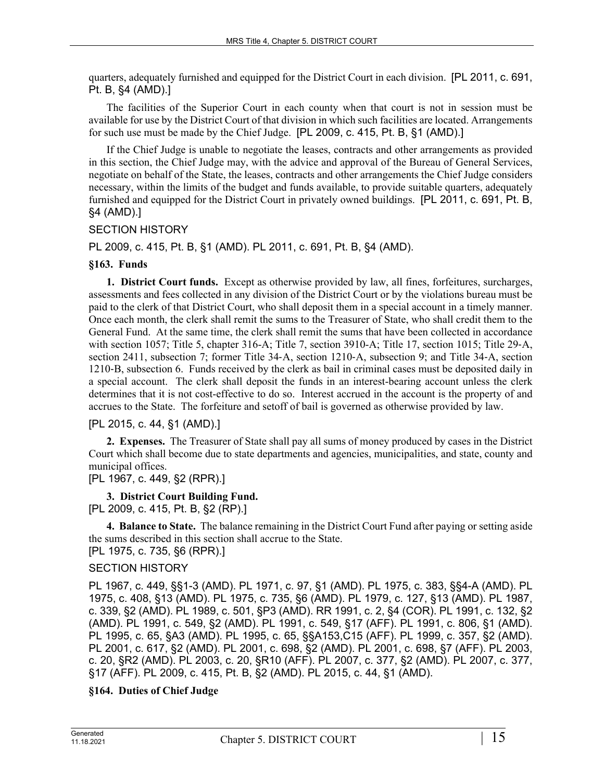quarters, adequately furnished and equipped for the District Court in each division. [PL 2011, c. 691, Pt. B, §4 (AMD).]

The facilities of the Superior Court in each county when that court is not in session must be available for use by the District Court of that division in which such facilities are located. Arrangements for such use must be made by the Chief Judge. [PL 2009, c. 415, Pt. B, §1 (AMD).]

If the Chief Judge is unable to negotiate the leases, contracts and other arrangements as provided in this section, the Chief Judge may, with the advice and approval of the Bureau of General Services, negotiate on behalf of the State, the leases, contracts and other arrangements the Chief Judge considers necessary, within the limits of the budget and funds available, to provide suitable quarters, adequately furnished and equipped for the District Court in privately owned buildings. [PL 2011, c. 691, Pt. B, §4 (AMD).]

### SECTION HISTORY

PL 2009, c. 415, Pt. B, §1 (AMD). PL 2011, c. 691, Pt. B, §4 (AMD).

### **§163. Funds**

**1. District Court funds.** Except as otherwise provided by law, all fines, forfeitures, surcharges, assessments and fees collected in any division of the District Court or by the violations bureau must be paid to the clerk of that District Court, who shall deposit them in a special account in a timely manner. Once each month, the clerk shall remit the sums to the Treasurer of State, who shall credit them to the General Fund. At the same time, the clerk shall remit the sums that have been collected in accordance with section 1057; Title 5, chapter 316-A; Title 7, section 3910-A; Title 17, section 1015; Title 29-A, section 2411, subsection 7; former Title 34–A, section 1210–A, subsection 9; and Title 34–A, section 1210‑B, subsection 6. Funds received by the clerk as bail in criminal cases must be deposited daily in a special account. The clerk shall deposit the funds in an interest-bearing account unless the clerk determines that it is not cost-effective to do so. Interest accrued in the account is the property of and accrues to the State. The forfeiture and setoff of bail is governed as otherwise provided by law.

# [PL 2015, c. 44, §1 (AMD).]

**2. Expenses.** The Treasurer of State shall pay all sums of money produced by cases in the District Court which shall become due to state departments and agencies, municipalities, and state, county and municipal offices.

[PL 1967, c. 449, §2 (RPR).]

**3. District Court Building Fund.** 

[PL 2009, c. 415, Pt. B, §2 (RP).]

**4. Balance to State.** The balance remaining in the District Court Fund after paying or setting aside the sums described in this section shall accrue to the State.

[PL 1975, c. 735, §6 (RPR).]

### SECTION HISTORY

PL 1967, c. 449, §§1-3 (AMD). PL 1971, c. 97, §1 (AMD). PL 1975, c. 383, §§4-A (AMD). PL 1975, c. 408, §13 (AMD). PL 1975, c. 735, §6 (AMD). PL 1979, c. 127, §13 (AMD). PL 1987, c. 339, §2 (AMD). PL 1989, c. 501, §P3 (AMD). RR 1991, c. 2, §4 (COR). PL 1991, c. 132, §2 (AMD). PL 1991, c. 549, §2 (AMD). PL 1991, c. 549, §17 (AFF). PL 1991, c. 806, §1 (AMD). PL 1995, c. 65, §A3 (AMD). PL 1995, c. 65, §§A153,C15 (AFF). PL 1999, c. 357, §2 (AMD). PL 2001, c. 617, §2 (AMD). PL 2001, c. 698, §2 (AMD). PL 2001, c. 698, §7 (AFF). PL 2003, c. 20, §R2 (AMD). PL 2003, c. 20, §R10 (AFF). PL 2007, c. 377, §2 (AMD). PL 2007, c. 377, §17 (AFF). PL 2009, c. 415, Pt. B, §2 (AMD). PL 2015, c. 44, §1 (AMD).

# **§164. Duties of Chief Judge**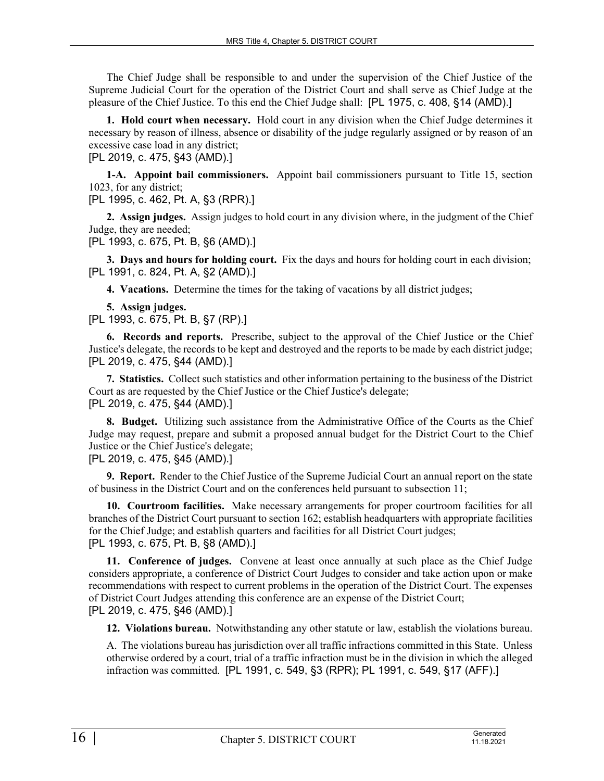The Chief Judge shall be responsible to and under the supervision of the Chief Justice of the Supreme Judicial Court for the operation of the District Court and shall serve as Chief Judge at the pleasure of the Chief Justice. To this end the Chief Judge shall: [PL 1975, c. 408, §14 (AMD).]

**1. Hold court when necessary.** Hold court in any division when the Chief Judge determines it necessary by reason of illness, absence or disability of the judge regularly assigned or by reason of an excessive case load in any district;

[PL 2019, c. 475, §43 (AMD).]

**1-A. Appoint bail commissioners.** Appoint bail commissioners pursuant to Title 15, section 1023, for any district;

[PL 1995, c. 462, Pt. A, §3 (RPR).]

**2. Assign judges.** Assign judges to hold court in any division where, in the judgment of the Chief Judge, they are needed;

[PL 1993, c. 675, Pt. B, §6 (AMD).]

**3. Days and hours for holding court.** Fix the days and hours for holding court in each division; [PL 1991, c. 824, Pt. A, §2 (AMD).]

**4. Vacations.** Determine the times for the taking of vacations by all district judges;

**5. Assign judges.**  [PL 1993, c. 675, Pt. B, §7 (RP).]

**6. Records and reports.** Prescribe, subject to the approval of the Chief Justice or the Chief Justice's delegate, the records to be kept and destroyed and the reports to be made by each district judge; [PL 2019, c. 475, §44 (AMD).]

**7. Statistics.** Collect such statistics and other information pertaining to the business of the District Court as are requested by the Chief Justice or the Chief Justice's delegate; [PL 2019, c. 475, §44 (AMD).]

**8. Budget.** Utilizing such assistance from the Administrative Office of the Courts as the Chief Judge may request, prepare and submit a proposed annual budget for the District Court to the Chief Justice or the Chief Justice's delegate;

[PL 2019, c. 475, §45 (AMD).]

**9. Report.** Render to the Chief Justice of the Supreme Judicial Court an annual report on the state of business in the District Court and on the conferences held pursuant to subsection 11;

**10. Courtroom facilities.** Make necessary arrangements for proper courtroom facilities for all branches of the District Court pursuant to section 162; establish headquarters with appropriate facilities for the Chief Judge; and establish quarters and facilities for all District Court judges; [PL 1993, c. 675, Pt. B, §8 (AMD).]

**11. Conference of judges.** Convene at least once annually at such place as the Chief Judge considers appropriate, a conference of District Court Judges to consider and take action upon or make recommendations with respect to current problems in the operation of the District Court. The expenses of District Court Judges attending this conference are an expense of the District Court; [PL 2019, c. 475, §46 (AMD).]

**12. Violations bureau.** Notwithstanding any other statute or law, establish the violations bureau.

A. The violations bureau has jurisdiction over all traffic infractions committed in this State. Unless otherwise ordered by a court, trial of a traffic infraction must be in the division in which the alleged infraction was committed. [PL 1991, c. 549, §3 (RPR); PL 1991, c. 549, §17 (AFF).]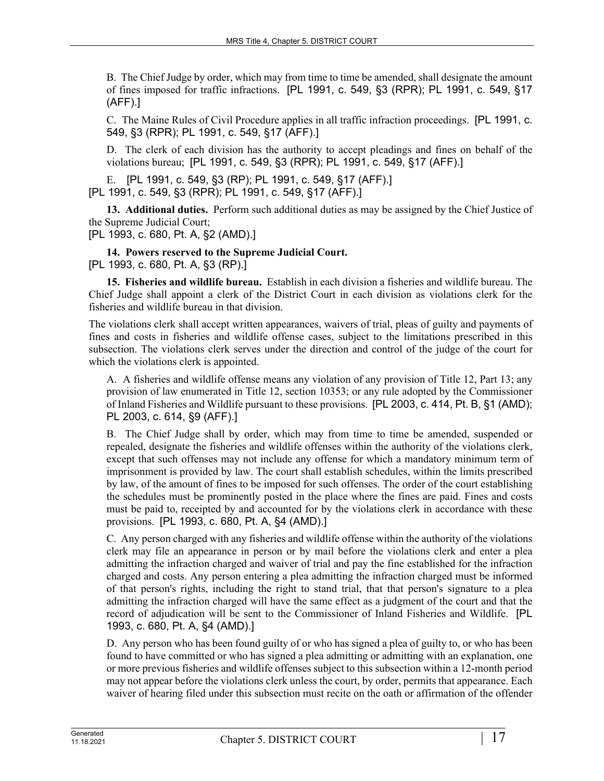B. The Chief Judge by order, which may from time to time be amended, shall designate the amount of fines imposed for traffic infractions. [PL 1991, c. 549, §3 (RPR); PL 1991, c. 549, §17 (AFF).]

C. The Maine Rules of Civil Procedure applies in all traffic infraction proceedings. [PL 1991, c. 549, §3 (RPR); PL 1991, c. 549, §17 (AFF).]

D. The clerk of each division has the authority to accept pleadings and fines on behalf of the violations bureau; [PL 1991, c. 549, §3 (RPR); PL 1991, c. 549, §17 (AFF).]

E. [PL 1991, c. 549, §3 (RP); PL 1991, c. 549, §17 (AFF).] [PL 1991, c. 549, §3 (RPR); PL 1991, c. 549, §17 (AFF).]

**13. Additional duties.** Perform such additional duties as may be assigned by the Chief Justice of the Supreme Judicial Court;

[PL 1993, c. 680, Pt. A, §2 (AMD).]

**14. Powers reserved to the Supreme Judicial Court.**  [PL 1993, c. 680, Pt. A, §3 (RP).]

**15. Fisheries and wildlife bureau.** Establish in each division a fisheries and wildlife bureau. The Chief Judge shall appoint a clerk of the District Court in each division as violations clerk for the fisheries and wildlife bureau in that division.

The violations clerk shall accept written appearances, waivers of trial, pleas of guilty and payments of fines and costs in fisheries and wildlife offense cases, subject to the limitations prescribed in this subsection. The violations clerk serves under the direction and control of the judge of the court for which the violations clerk is appointed.

A. A fisheries and wildlife offense means any violation of any provision of Title 12, Part 13; any provision of law enumerated in Title 12, section 10353; or any rule adopted by the Commissioner of Inland Fisheries and Wildlife pursuant to these provisions. [PL 2003, c. 414, Pt. B, §1 (AMD); PL 2003, c. 614, §9 (AFF).]

B. The Chief Judge shall by order, which may from time to time be amended, suspended or repealed, designate the fisheries and wildlife offenses within the authority of the violations clerk, except that such offenses may not include any offense for which a mandatory minimum term of imprisonment is provided by law. The court shall establish schedules, within the limits prescribed by law, of the amount of fines to be imposed for such offenses. The order of the court establishing the schedules must be prominently posted in the place where the fines are paid. Fines and costs must be paid to, receipted by and accounted for by the violations clerk in accordance with these provisions. [PL 1993, c. 680, Pt. A, §4 (AMD).]

C. Any person charged with any fisheries and wildlife offense within the authority of the violations clerk may file an appearance in person or by mail before the violations clerk and enter a plea admitting the infraction charged and waiver of trial and pay the fine established for the infraction charged and costs. Any person entering a plea admitting the infraction charged must be informed of that person's rights, including the right to stand trial, that that person's signature to a plea admitting the infraction charged will have the same effect as a judgment of the court and that the record of adjudication will be sent to the Commissioner of Inland Fisheries and Wildlife. [PL 1993, c. 680, Pt. A, §4 (AMD).]

D. Any person who has been found guilty of or who has signed a plea of guilty to, or who has been found to have committed or who has signed a plea admitting or admitting with an explanation, one or more previous fisheries and wildlife offenses subject to this subsection within a 12-month period may not appear before the violations clerk unless the court, by order, permits that appearance. Each waiver of hearing filed under this subsection must recite on the oath or affirmation of the offender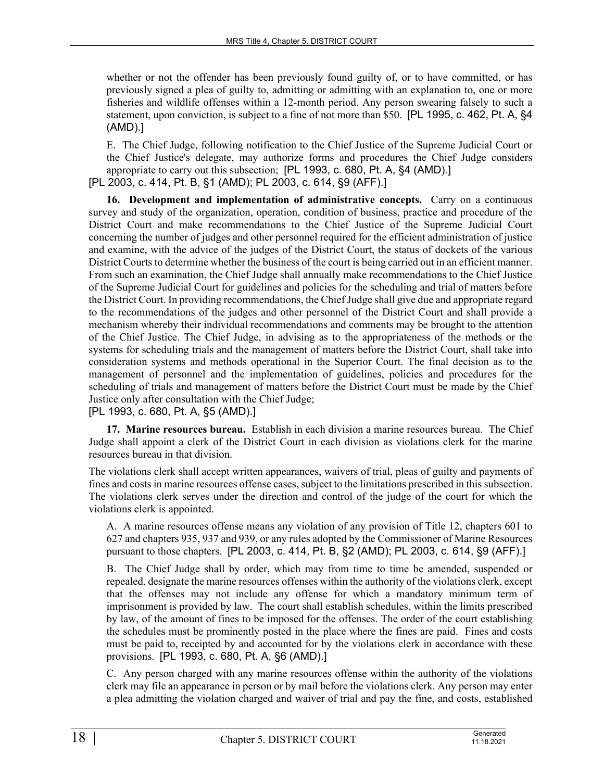whether or not the offender has been previously found guilty of, or to have committed, or has previously signed a plea of guilty to, admitting or admitting with an explanation to, one or more fisheries and wildlife offenses within a 12-month period. Any person swearing falsely to such a statement, upon conviction, is subject to a fine of not more than \$50. [PL 1995, c. 462, Pt. A, §4 (AMD).]

E. The Chief Judge, following notification to the Chief Justice of the Supreme Judicial Court or the Chief Justice's delegate, may authorize forms and procedures the Chief Judge considers appropriate to carry out this subsection; [PL 1993, c. 680, Pt. A, §4 (AMD).]

[PL 2003, c. 414, Pt. B, §1 (AMD); PL 2003, c. 614, §9 (AFF).]

**16. Development and implementation of administrative concepts.** Carry on a continuous survey and study of the organization, operation, condition of business, practice and procedure of the District Court and make recommendations to the Chief Justice of the Supreme Judicial Court concerning the number of judges and other personnel required for the efficient administration of justice and examine, with the advice of the judges of the District Court, the status of dockets of the various District Courts to determine whether the business of the court is being carried out in an efficient manner. From such an examination, the Chief Judge shall annually make recommendations to the Chief Justice of the Supreme Judicial Court for guidelines and policies for the scheduling and trial of matters before the District Court. In providing recommendations, the Chief Judge shall give due and appropriate regard to the recommendations of the judges and other personnel of the District Court and shall provide a mechanism whereby their individual recommendations and comments may be brought to the attention of the Chief Justice. The Chief Judge, in advising as to the appropriateness of the methods or the systems for scheduling trials and the management of matters before the District Court, shall take into consideration systems and methods operational in the Superior Court. The final decision as to the management of personnel and the implementation of guidelines, policies and procedures for the scheduling of trials and management of matters before the District Court must be made by the Chief Justice only after consultation with the Chief Judge;

[PL 1993, c. 680, Pt. A, §5 (AMD).]

**17. Marine resources bureau.** Establish in each division a marine resources bureau. The Chief Judge shall appoint a clerk of the District Court in each division as violations clerk for the marine resources bureau in that division.

The violations clerk shall accept written appearances, waivers of trial, pleas of guilty and payments of fines and costs in marine resources offense cases, subject to the limitations prescribed in this subsection. The violations clerk serves under the direction and control of the judge of the court for which the violations clerk is appointed.

A. A marine resources offense means any violation of any provision of Title 12, chapters 601 to 627 and chapters 935, 937 and 939, or any rules adopted by the Commissioner of Marine Resources pursuant to those chapters. [PL 2003, c. 414, Pt. B, §2 (AMD); PL 2003, c. 614, §9 (AFF).]

B. The Chief Judge shall by order, which may from time to time be amended, suspended or repealed, designate the marine resources offenses within the authority of the violations clerk, except that the offenses may not include any offense for which a mandatory minimum term of imprisonment is provided by law. The court shall establish schedules, within the limits prescribed by law, of the amount of fines to be imposed for the offenses. The order of the court establishing the schedules must be prominently posted in the place where the fines are paid. Fines and costs must be paid to, receipted by and accounted for by the violations clerk in accordance with these provisions. [PL 1993, c. 680, Pt. A, §6 (AMD).]

C. Any person charged with any marine resources offense within the authority of the violations clerk may file an appearance in person or by mail before the violations clerk. Any person may enter a plea admitting the violation charged and waiver of trial and pay the fine, and costs, established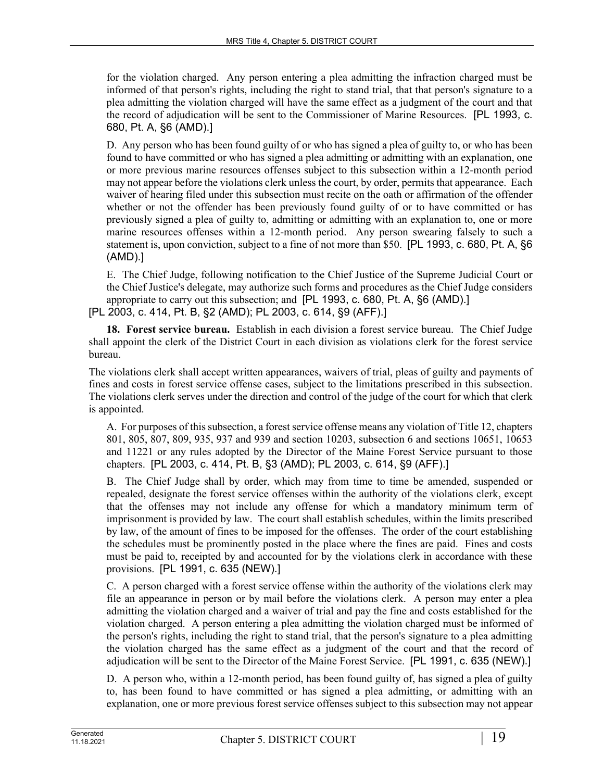for the violation charged. Any person entering a plea admitting the infraction charged must be informed of that person's rights, including the right to stand trial, that that person's signature to a plea admitting the violation charged will have the same effect as a judgment of the court and that the record of adjudication will be sent to the Commissioner of Marine Resources. [PL 1993, c. 680, Pt. A, §6 (AMD).]

D. Any person who has been found guilty of or who has signed a plea of guilty to, or who has been found to have committed or who has signed a plea admitting or admitting with an explanation, one or more previous marine resources offenses subject to this subsection within a 12-month period may not appear before the violations clerk unless the court, by order, permits that appearance. Each waiver of hearing filed under this subsection must recite on the oath or affirmation of the offender whether or not the offender has been previously found guilty of or to have committed or has previously signed a plea of guilty to, admitting or admitting with an explanation to, one or more marine resources offenses within a 12-month period. Any person swearing falsely to such a statement is, upon conviction, subject to a fine of not more than \$50. [PL 1993, c. 680, Pt. A, §6 (AMD).]

E. The Chief Judge, following notification to the Chief Justice of the Supreme Judicial Court or the Chief Justice's delegate, may authorize such forms and procedures as the Chief Judge considers appropriate to carry out this subsection; and [PL 1993, c. 680, Pt. A, §6 (AMD).] [PL 2003, c. 414, Pt. B, §2 (AMD); PL 2003, c. 614, §9 (AFF).]

**18. Forest service bureau.** Establish in each division a forest service bureau. The Chief Judge shall appoint the clerk of the District Court in each division as violations clerk for the forest service bureau.

The violations clerk shall accept written appearances, waivers of trial, pleas of guilty and payments of fines and costs in forest service offense cases, subject to the limitations prescribed in this subsection. The violations clerk serves under the direction and control of the judge of the court for which that clerk is appointed.

A. For purposes of this subsection, a forest service offense means any violation of Title 12, chapters 801, 805, 807, 809, 935, 937 and 939 and section 10203, subsection 6 and sections 10651, 10653 and 11221 or any rules adopted by the Director of the Maine Forest Service pursuant to those chapters. [PL 2003, c. 414, Pt. B, §3 (AMD); PL 2003, c. 614, §9 (AFF).]

B. The Chief Judge shall by order, which may from time to time be amended, suspended or repealed, designate the forest service offenses within the authority of the violations clerk, except that the offenses may not include any offense for which a mandatory minimum term of imprisonment is provided by law. The court shall establish schedules, within the limits prescribed by law, of the amount of fines to be imposed for the offenses. The order of the court establishing the schedules must be prominently posted in the place where the fines are paid. Fines and costs must be paid to, receipted by and accounted for by the violations clerk in accordance with these provisions. [PL 1991, c. 635 (NEW).]

C. A person charged with a forest service offense within the authority of the violations clerk may file an appearance in person or by mail before the violations clerk. A person may enter a plea admitting the violation charged and a waiver of trial and pay the fine and costs established for the violation charged. A person entering a plea admitting the violation charged must be informed of the person's rights, including the right to stand trial, that the person's signature to a plea admitting the violation charged has the same effect as a judgment of the court and that the record of adjudication will be sent to the Director of the Maine Forest Service. [PL 1991, c. 635 (NEW).]

D. A person who, within a 12-month period, has been found guilty of, has signed a plea of guilty to, has been found to have committed or has signed a plea admitting, or admitting with an explanation, one or more previous forest service offenses subject to this subsection may not appear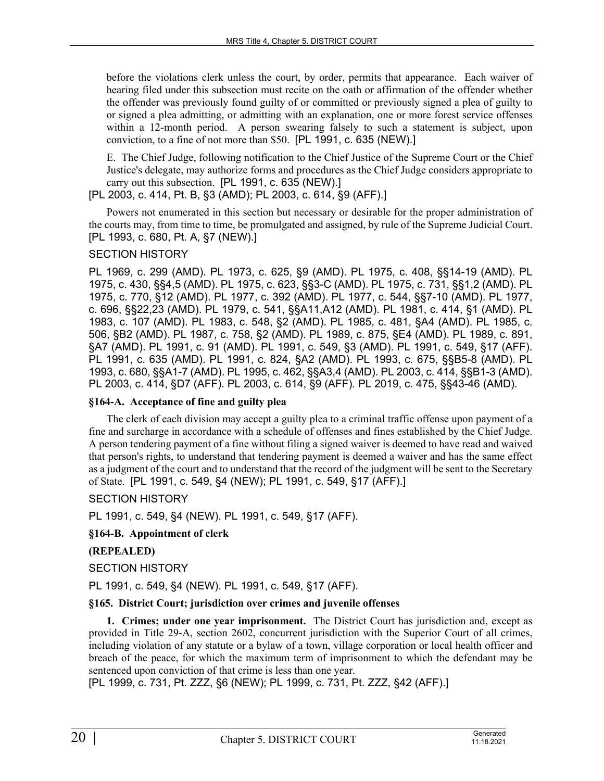before the violations clerk unless the court, by order, permits that appearance. Each waiver of hearing filed under this subsection must recite on the oath or affirmation of the offender whether the offender was previously found guilty of or committed or previously signed a plea of guilty to or signed a plea admitting, or admitting with an explanation, one or more forest service offenses within a 12-month period. A person swearing falsely to such a statement is subject, upon conviction, to a fine of not more than \$50. [PL 1991, c. 635 (NEW).]

E. The Chief Judge, following notification to the Chief Justice of the Supreme Court or the Chief Justice's delegate, may authorize forms and procedures as the Chief Judge considers appropriate to carry out this subsection. [PL 1991, c. 635 (NEW).]

[PL 2003, c. 414, Pt. B, §3 (AMD); PL 2003, c. 614, §9 (AFF).]

Powers not enumerated in this section but necessary or desirable for the proper administration of the courts may, from time to time, be promulgated and assigned, by rule of the Supreme Judicial Court. [PL 1993, c. 680, Pt. A, §7 (NEW).]

### SECTION HISTORY

PL 1969, c. 299 (AMD). PL 1973, c. 625, §9 (AMD). PL 1975, c. 408, §§14-19 (AMD). PL 1975, c. 430, §§4,5 (AMD). PL 1975, c. 623, §§3-C (AMD). PL 1975, c. 731, §§1,2 (AMD). PL 1975, c. 770, §12 (AMD). PL 1977, c. 392 (AMD). PL 1977, c. 544, §§7-10 (AMD). PL 1977, c. 696, §§22,23 (AMD). PL 1979, c. 541, §§A11,A12 (AMD). PL 1981, c. 414, §1 (AMD). PL 1983, c. 107 (AMD). PL 1983, c. 548, §2 (AMD). PL 1985, c. 481, §A4 (AMD). PL 1985, c. 506, §B2 (AMD). PL 1987, c. 758, §2 (AMD). PL 1989, c. 875, §E4 (AMD). PL 1989, c. 891, §A7 (AMD). PL 1991, c. 91 (AMD). PL 1991, c. 549, §3 (AMD). PL 1991, c. 549, §17 (AFF). PL 1991, c. 635 (AMD). PL 1991, c. 824, §A2 (AMD). PL 1993, c. 675, §§B5-8 (AMD). PL 1993, c. 680, §§A1-7 (AMD). PL 1995, c. 462, §§A3,4 (AMD). PL 2003, c. 414, §§B1-3 (AMD). PL 2003, c. 414, §D7 (AFF). PL 2003, c. 614, §9 (AFF). PL 2019, c. 475, §§43-46 (AMD).

# **§164-A. Acceptance of fine and guilty plea**

The clerk of each division may accept a guilty plea to a criminal traffic offense upon payment of a fine and surcharge in accordance with a schedule of offenses and fines established by the Chief Judge. A person tendering payment of a fine without filing a signed waiver is deemed to have read and waived that person's rights, to understand that tendering payment is deemed a waiver and has the same effect as a judgment of the court and to understand that the record of the judgment will be sent to the Secretary of State. [PL 1991, c. 549, §4 (NEW); PL 1991, c. 549, §17 (AFF).]

### SECTION HISTORY

PL 1991, c. 549, §4 (NEW). PL 1991, c. 549, §17 (AFF).

### **§164-B. Appointment of clerk**

**(REPEALED)**

SECTION HISTORY

PL 1991, c. 549, §4 (NEW). PL 1991, c. 549, §17 (AFF).

# **§165. District Court; jurisdiction over crimes and juvenile offenses**

**1. Crimes; under one year imprisonment.** The District Court has jurisdiction and, except as provided in Title 29‑A, section 2602, concurrent jurisdiction with the Superior Court of all crimes, including violation of any statute or a bylaw of a town, village corporation or local health officer and breach of the peace, for which the maximum term of imprisonment to which the defendant may be sentenced upon conviction of that crime is less than one year.

[PL 1999, c. 731, Pt. ZZZ, §6 (NEW); PL 1999, c. 731, Pt. ZZZ, §42 (AFF).]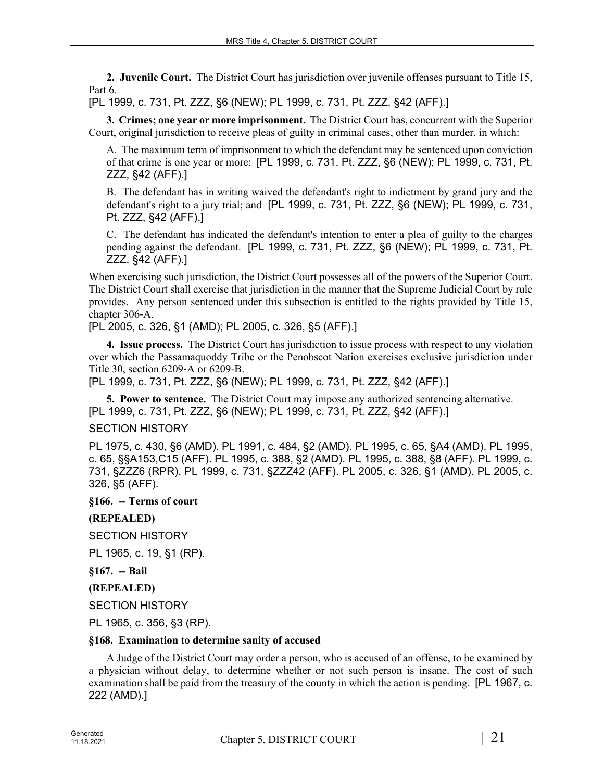**2. Juvenile Court.** The District Court has jurisdiction over juvenile offenses pursuant to Title 15, Part 6.

[PL 1999, c. 731, Pt. ZZZ, §6 (NEW); PL 1999, c. 731, Pt. ZZZ, §42 (AFF).]

**3. Crimes; one year or more imprisonment.** The District Court has, concurrent with the Superior Court, original jurisdiction to receive pleas of guilty in criminal cases, other than murder, in which:

A. The maximum term of imprisonment to which the defendant may be sentenced upon conviction of that crime is one year or more; [PL 1999, c. 731, Pt. ZZZ, §6 (NEW); PL 1999, c. 731, Pt. ZZZ, §42 (AFF).]

B. The defendant has in writing waived the defendant's right to indictment by grand jury and the defendant's right to a jury trial; and [PL 1999, c. 731, Pt. ZZZ, §6 (NEW); PL 1999, c. 731, Pt. ZZZ, §42 (AFF).]

C. The defendant has indicated the defendant's intention to enter a plea of guilty to the charges pending against the defendant. [PL 1999, c. 731, Pt. ZZZ, §6 (NEW); PL 1999, c. 731, Pt. ZZZ, §42 (AFF).]

When exercising such jurisdiction, the District Court possesses all of the powers of the Superior Court. The District Court shall exercise that jurisdiction in the manner that the Supreme Judicial Court by rule provides. Any person sentenced under this subsection is entitled to the rights provided by Title 15, chapter 306‑A.

[PL 2005, c. 326, §1 (AMD); PL 2005, c. 326, §5 (AFF).]

**4. Issue process.** The District Court has jurisdiction to issue process with respect to any violation over which the Passamaquoddy Tribe or the Penobscot Nation exercises exclusive jurisdiction under Title 30, section 6209‑A or 6209-B.

[PL 1999, c. 731, Pt. ZZZ, §6 (NEW); PL 1999, c. 731, Pt. ZZZ, §42 (AFF).]

**5. Power to sentence.** The District Court may impose any authorized sentencing alternative. [PL 1999, c. 731, Pt. ZZZ, §6 (NEW); PL 1999, c. 731, Pt. ZZZ, §42 (AFF).]

# SECTION HISTORY

PL 1975, c. 430, §6 (AMD). PL 1991, c. 484, §2 (AMD). PL 1995, c. 65, §A4 (AMD). PL 1995, c. 65, §§A153,C15 (AFF). PL 1995, c. 388, §2 (AMD). PL 1995, c. 388, §8 (AFF). PL 1999, c. 731, §ZZZ6 (RPR). PL 1999, c. 731, §ZZZ42 (AFF). PL 2005, c. 326, §1 (AMD). PL 2005, c. 326, §5 (AFF).

### **§166. -- Terms of court**

**(REPEALED)**

SECTION HISTORY

PL 1965, c. 19, §1 (RP).

**§167. -- Bail**

### **(REPEALED)**

SECTION HISTORY

PL 1965, c. 356, §3 (RP).

### **§168. Examination to determine sanity of accused**

A Judge of the District Court may order a person, who is accused of an offense, to be examined by a physician without delay, to determine whether or not such person is insane. The cost of such examination shall be paid from the treasury of the county in which the action is pending. [PL 1967, c. 222 (AMD).]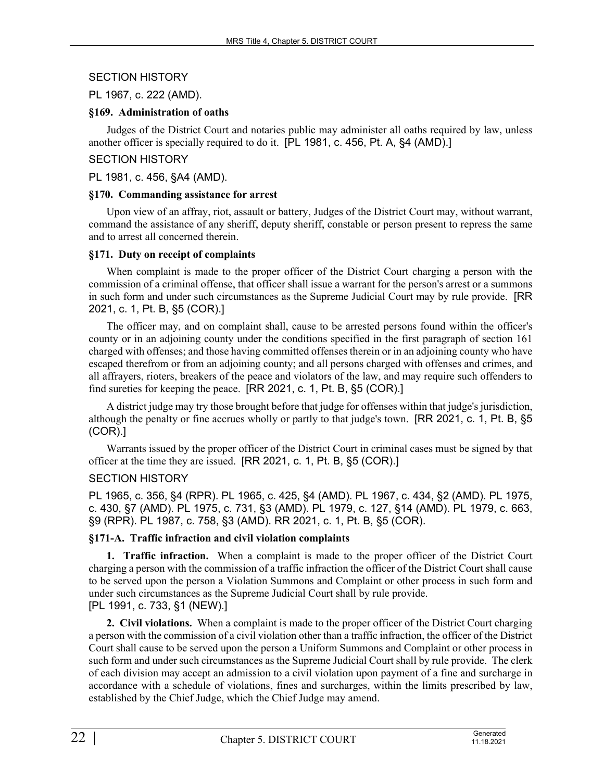### SECTION HISTORY

PL 1967, c. 222 (AMD).

### **§169. Administration of oaths**

Judges of the District Court and notaries public may administer all oaths required by law, unless another officer is specially required to do it. [PL 1981, c. 456, Pt. A, §4 (AMD).]

# SECTION HISTORY

PL 1981, c. 456, §A4 (AMD).

### **§170. Commanding assistance for arrest**

Upon view of an affray, riot, assault or battery, Judges of the District Court may, without warrant, command the assistance of any sheriff, deputy sheriff, constable or person present to repress the same and to arrest all concerned therein.

### **§171. Duty on receipt of complaints**

When complaint is made to the proper officer of the District Court charging a person with the commission of a criminal offense, that officer shall issue a warrant for the person's arrest or a summons in such form and under such circumstances as the Supreme Judicial Court may by rule provide. [RR 2021, c. 1, Pt. B, §5 (COR).]

The officer may, and on complaint shall, cause to be arrested persons found within the officer's county or in an adjoining county under the conditions specified in the first paragraph of section 161 charged with offenses; and those having committed offenses therein or in an adjoining county who have escaped therefrom or from an adjoining county; and all persons charged with offenses and crimes, and all affrayers, rioters, breakers of the peace and violators of the law, and may require such offenders to find sureties for keeping the peace. [RR 2021, c. 1, Pt. B, §5 (COR).]

A district judge may try those brought before that judge for offenses within that judge's jurisdiction, although the penalty or fine accrues wholly or partly to that judge's town. [RR 2021, c. 1, Pt. B, §5 (COR).]

Warrants issued by the proper officer of the District Court in criminal cases must be signed by that officer at the time they are issued. [RR 2021, c. 1, Pt. B, §5 (COR).]

# SECTION HISTORY

PL 1965, c. 356, §4 (RPR). PL 1965, c. 425, §4 (AMD). PL 1967, c. 434, §2 (AMD). PL 1975, c. 430, §7 (AMD). PL 1975, c. 731, §3 (AMD). PL 1979, c. 127, §14 (AMD). PL 1979, c. 663, §9 (RPR). PL 1987, c. 758, §3 (AMD). RR 2021, c. 1, Pt. B, §5 (COR).

# **§171-A. Traffic infraction and civil violation complaints**

**1. Traffic infraction.** When a complaint is made to the proper officer of the District Court charging a person with the commission of a traffic infraction the officer of the District Court shall cause to be served upon the person a Violation Summons and Complaint or other process in such form and under such circumstances as the Supreme Judicial Court shall by rule provide. [PL 1991, c. 733, §1 (NEW).]

**2. Civil violations.** When a complaint is made to the proper officer of the District Court charging a person with the commission of a civil violation other than a traffic infraction, the officer of the District Court shall cause to be served upon the person a Uniform Summons and Complaint or other process in such form and under such circumstances as the Supreme Judicial Court shall by rule provide. The clerk of each division may accept an admission to a civil violation upon payment of a fine and surcharge in accordance with a schedule of violations, fines and surcharges, within the limits prescribed by law, established by the Chief Judge, which the Chief Judge may amend.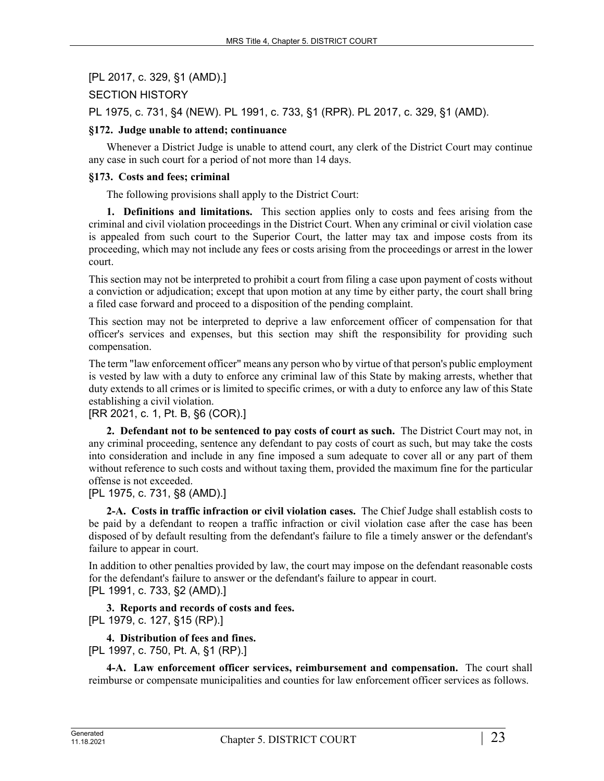# [PL 2017, c. 329, §1 (AMD).] SECTION HISTORY

PL 1975, c. 731, §4 (NEW). PL 1991, c. 733, §1 (RPR). PL 2017, c. 329, §1 (AMD).

### **§172. Judge unable to attend; continuance**

Whenever a District Judge is unable to attend court, any clerk of the District Court may continue any case in such court for a period of not more than 14 days.

### **§173. Costs and fees; criminal**

The following provisions shall apply to the District Court:

**1. Definitions and limitations.** This section applies only to costs and fees arising from the criminal and civil violation proceedings in the District Court. When any criminal or civil violation case is appealed from such court to the Superior Court, the latter may tax and impose costs from its proceeding, which may not include any fees or costs arising from the proceedings or arrest in the lower court.

This section may not be interpreted to prohibit a court from filing a case upon payment of costs without a conviction or adjudication; except that upon motion at any time by either party, the court shall bring a filed case forward and proceed to a disposition of the pending complaint.

This section may not be interpreted to deprive a law enforcement officer of compensation for that officer's services and expenses, but this section may shift the responsibility for providing such compensation.

The term "law enforcement officer" means any person who by virtue of that person's public employment is vested by law with a duty to enforce any criminal law of this State by making arrests, whether that duty extends to all crimes or is limited to specific crimes, or with a duty to enforce any law of this State establishing a civil violation.

# [RR 2021, c. 1, Pt. B, §6 (COR).]

**2. Defendant not to be sentenced to pay costs of court as such.** The District Court may not, in any criminal proceeding, sentence any defendant to pay costs of court as such, but may take the costs into consideration and include in any fine imposed a sum adequate to cover all or any part of them without reference to such costs and without taxing them, provided the maximum fine for the particular offense is not exceeded.

# [PL 1975, c. 731, §8 (AMD).]

**2-A. Costs in traffic infraction or civil violation cases.** The Chief Judge shall establish costs to be paid by a defendant to reopen a traffic infraction or civil violation case after the case has been disposed of by default resulting from the defendant's failure to file a timely answer or the defendant's failure to appear in court.

In addition to other penalties provided by law, the court may impose on the defendant reasonable costs for the defendant's failure to answer or the defendant's failure to appear in court.

[PL 1991, c. 733, §2 (AMD).]

**3. Reports and records of costs and fees.**  [PL 1979, c. 127, §15 (RP).]

**4. Distribution of fees and fines.**  [PL 1997, c. 750, Pt. A, §1 (RP).]

**4-A. Law enforcement officer services, reimbursement and compensation.** The court shall reimburse or compensate municipalities and counties for law enforcement officer services as follows.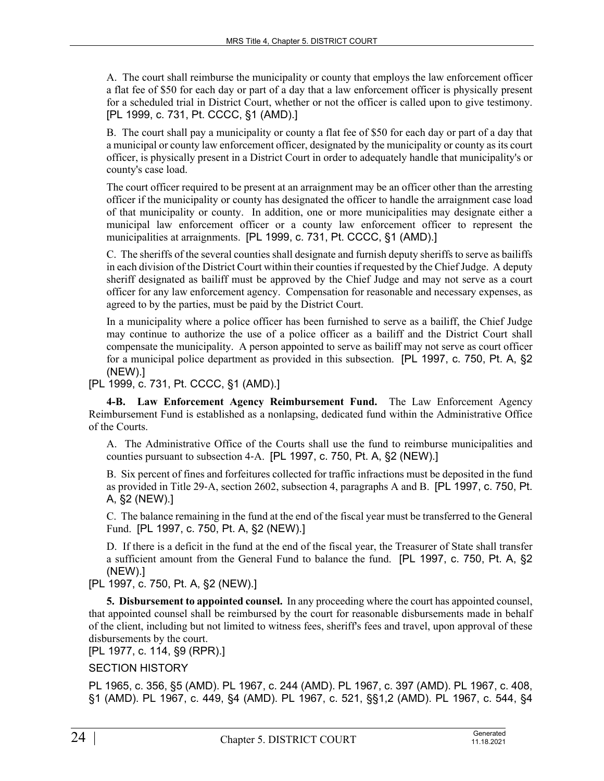A. The court shall reimburse the municipality or county that employs the law enforcement officer a flat fee of \$50 for each day or part of a day that a law enforcement officer is physically present for a scheduled trial in District Court, whether or not the officer is called upon to give testimony. [PL 1999, c. 731, Pt. CCCC, §1 (AMD).]

B. The court shall pay a municipality or county a flat fee of \$50 for each day or part of a day that a municipal or county law enforcement officer, designated by the municipality or county as its court officer, is physically present in a District Court in order to adequately handle that municipality's or county's case load.

The court officer required to be present at an arraignment may be an officer other than the arresting officer if the municipality or county has designated the officer to handle the arraignment case load of that municipality or county. In addition, one or more municipalities may designate either a municipal law enforcement officer or a county law enforcement officer to represent the municipalities at arraignments. [PL 1999, c. 731, Pt. CCCC, §1 (AMD).]

C. The sheriffs of the several counties shall designate and furnish deputy sheriffs to serve as bailiffs in each division of the District Court within their counties if requested by the Chief Judge. A deputy sheriff designated as bailiff must be approved by the Chief Judge and may not serve as a court officer for any law enforcement agency. Compensation for reasonable and necessary expenses, as agreed to by the parties, must be paid by the District Court.

In a municipality where a police officer has been furnished to serve as a bailiff, the Chief Judge may continue to authorize the use of a police officer as a bailiff and the District Court shall compensate the municipality. A person appointed to serve as bailiff may not serve as court officer for a municipal police department as provided in this subsection. [PL 1997, c. 750, Pt. A, §2 (NEW).]

[PL 1999, c. 731, Pt. CCCC, §1 (AMD).]

**4-B. Law Enforcement Agency Reimbursement Fund.** The Law Enforcement Agency Reimbursement Fund is established as a nonlapsing, dedicated fund within the Administrative Office of the Courts.

A. The Administrative Office of the Courts shall use the fund to reimburse municipalities and counties pursuant to subsection 4‑A. [PL 1997, c. 750, Pt. A, §2 (NEW).]

B. Six percent of fines and forfeitures collected for traffic infractions must be deposited in the fund as provided in Title 29‑A, section 2602, subsection 4, paragraphs A and B. [PL 1997, c. 750, Pt. A, §2 (NEW).]

C. The balance remaining in the fund at the end of the fiscal year must be transferred to the General Fund. [PL 1997, c. 750, Pt. A, §2 (NEW).]

D. If there is a deficit in the fund at the end of the fiscal year, the Treasurer of State shall transfer a sufficient amount from the General Fund to balance the fund. [PL 1997, c. 750, Pt. A, §2 (NEW).]

[PL 1997, c. 750, Pt. A, §2 (NEW).]

**5. Disbursement to appointed counsel.** In any proceeding where the court has appointed counsel, that appointed counsel shall be reimbursed by the court for reasonable disbursements made in behalf of the client, including but not limited to witness fees, sheriff's fees and travel, upon approval of these disbursements by the court.

[PL 1977, c. 114, §9 (RPR).]

# SECTION HISTORY

PL 1965, c. 356, §5 (AMD). PL 1967, c. 244 (AMD). PL 1967, c. 397 (AMD). PL 1967, c. 408, §1 (AMD). PL 1967, c. 449, §4 (AMD). PL 1967, c. 521, §§1,2 (AMD). PL 1967, c. 544, §4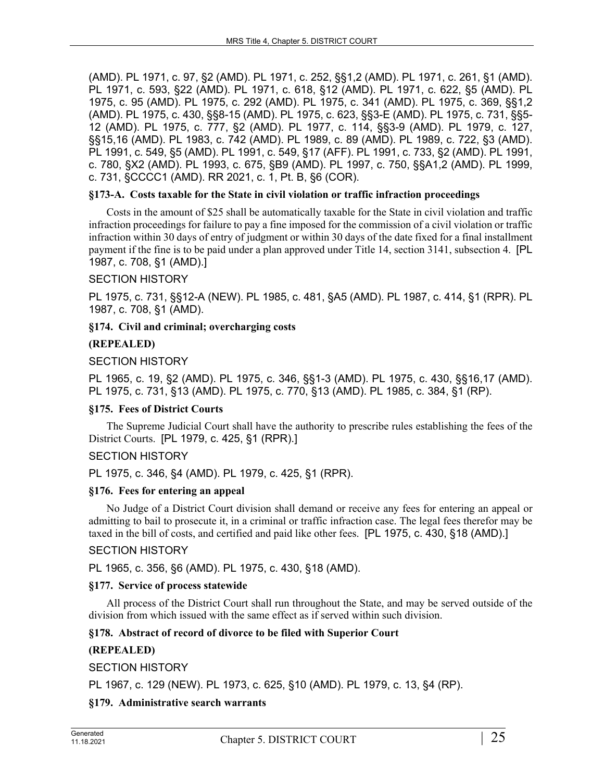(AMD). PL 1971, c. 97, §2 (AMD). PL 1971, c. 252, §§1,2 (AMD). PL 1971, c. 261, §1 (AMD). PL 1971, c. 593, §22 (AMD). PL 1971, c. 618, §12 (AMD). PL 1971, c. 622, §5 (AMD). PL 1975, c. 95 (AMD). PL 1975, c. 292 (AMD). PL 1975, c. 341 (AMD). PL 1975, c. 369, §§1,2 (AMD). PL 1975, c. 430, §§8-15 (AMD). PL 1975, c. 623, §§3-E (AMD). PL 1975, c. 731, §§5- 12 (AMD). PL 1975, c. 777, §2 (AMD). PL 1977, c. 114, §§3-9 (AMD). PL 1979, c. 127, §§15,16 (AMD). PL 1983, c. 742 (AMD). PL 1989, c. 89 (AMD). PL 1989, c. 722, §3 (AMD). PL 1991, c. 549, §5 (AMD). PL 1991, c. 549, §17 (AFF). PL 1991, c. 733, §2 (AMD). PL 1991, c. 780, §X2 (AMD). PL 1993, c. 675, §B9 (AMD). PL 1997, c. 750, §§A1,2 (AMD). PL 1999, c. 731, §CCCC1 (AMD). RR 2021, c. 1, Pt. B, §6 (COR).

### **§173-A. Costs taxable for the State in civil violation or traffic infraction proceedings**

Costs in the amount of \$25 shall be automatically taxable for the State in civil violation and traffic infraction proceedings for failure to pay a fine imposed for the commission of a civil violation or traffic infraction within 30 days of entry of judgment or within 30 days of the date fixed for a final installment payment if the fine is to be paid under a plan approved under Title 14, section 3141, subsection 4. [PL 1987, c. 708, §1 (AMD).]

#### SECTION HISTORY

PL 1975, c. 731, §§12-A (NEW). PL 1985, c. 481, §A5 (AMD). PL 1987, c. 414, §1 (RPR). PL 1987, c. 708, §1 (AMD).

#### **§174. Civil and criminal; overcharging costs**

### **(REPEALED)**

#### SECTION HISTORY

PL 1965, c. 19, §2 (AMD). PL 1975, c. 346, §§1-3 (AMD). PL 1975, c. 430, §§16,17 (AMD). PL 1975, c. 731, §13 (AMD). PL 1975, c. 770, §13 (AMD). PL 1985, c. 384, §1 (RP).

### **§175. Fees of District Courts**

The Supreme Judicial Court shall have the authority to prescribe rules establishing the fees of the District Courts. [PL 1979, c. 425, §1 (RPR).]

### SECTION HISTORY

PL 1975, c. 346, §4 (AMD). PL 1979, c. 425, §1 (RPR).

### **§176. Fees for entering an appeal**

No Judge of a District Court division shall demand or receive any fees for entering an appeal or admitting to bail to prosecute it, in a criminal or traffic infraction case. The legal fees therefor may be taxed in the bill of costs, and certified and paid like other fees. [PL 1975, c. 430, §18 (AMD).]

#### SECTION HISTORY

PL 1965, c. 356, §6 (AMD). PL 1975, c. 430, §18 (AMD).

#### **§177. Service of process statewide**

All process of the District Court shall run throughout the State, and may be served outside of the division from which issued with the same effect as if served within such division.

### **§178. Abstract of record of divorce to be filed with Superior Court**

### **(REPEALED)**

SECTION HISTORY

PL 1967, c. 129 (NEW). PL 1973, c. 625, §10 (AMD). PL 1979, c. 13, §4 (RP).

### **§179. Administrative search warrants**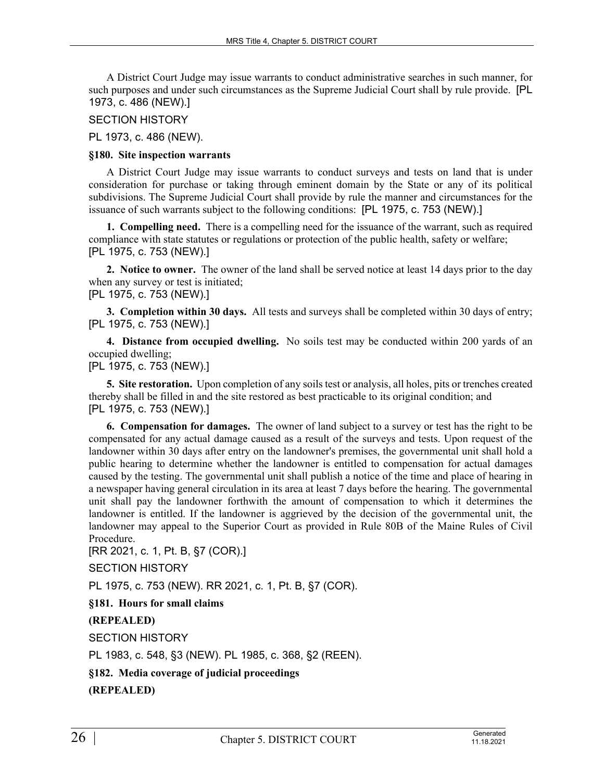A District Court Judge may issue warrants to conduct administrative searches in such manner, for such purposes and under such circumstances as the Supreme Judicial Court shall by rule provide. [PL 1973, c. 486 (NEW).]

#### SECTION HISTORY

PL 1973, c. 486 (NEW).

#### **§180. Site inspection warrants**

A District Court Judge may issue warrants to conduct surveys and tests on land that is under consideration for purchase or taking through eminent domain by the State or any of its political subdivisions. The Supreme Judicial Court shall provide by rule the manner and circumstances for the issuance of such warrants subject to the following conditions: [PL 1975, c. 753 (NEW).]

**1. Compelling need.** There is a compelling need for the issuance of the warrant, such as required compliance with state statutes or regulations or protection of the public health, safety or welfare; [PL 1975, c. 753 (NEW).]

**2. Notice to owner.** The owner of the land shall be served notice at least 14 days prior to the day when any survey or test is initiated; [PL 1975, c. 753 (NEW).]

**3. Completion within 30 days.** All tests and surveys shall be completed within 30 days of entry; [PL 1975, c. 753 (NEW).]

**4. Distance from occupied dwelling.** No soils test may be conducted within 200 yards of an occupied dwelling;

[PL 1975, c. 753 (NEW).]

**5. Site restoration.** Upon completion of any soils test or analysis, all holes, pits or trenches created thereby shall be filled in and the site restored as best practicable to its original condition; and [PL 1975, c. 753 (NEW).]

**6. Compensation for damages.** The owner of land subject to a survey or test has the right to be compensated for any actual damage caused as a result of the surveys and tests. Upon request of the landowner within 30 days after entry on the landowner's premises, the governmental unit shall hold a public hearing to determine whether the landowner is entitled to compensation for actual damages caused by the testing. The governmental unit shall publish a notice of the time and place of hearing in a newspaper having general circulation in its area at least 7 days before the hearing. The governmental unit shall pay the landowner forthwith the amount of compensation to which it determines the landowner is entitled. If the landowner is aggrieved by the decision of the governmental unit, the landowner may appeal to the Superior Court as provided in Rule 80B of the Maine Rules of Civil Procedure.

[RR 2021, c. 1, Pt. B, §7 (COR).]

SECTION HISTORY

PL 1975, c. 753 (NEW). RR 2021, c. 1, Pt. B, §7 (COR).

### **§181. Hours for small claims**

### **(REPEALED)**

SECTION HISTORY

PL 1983, c. 548, §3 (NEW). PL 1985, c. 368, §2 (REEN).

**§182. Media coverage of judicial proceedings**

**(REPEALED)**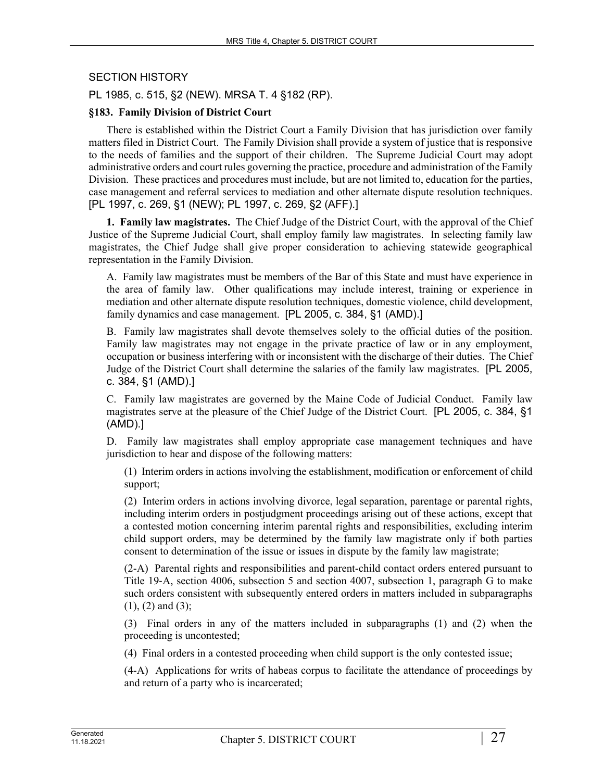### SECTION HISTORY

PL 1985, c. 515, §2 (NEW). MRSA T. 4 §182 (RP).

### **§183. Family Division of District Court**

There is established within the District Court a Family Division that has jurisdiction over family matters filed in District Court. The Family Division shall provide a system of justice that is responsive to the needs of families and the support of their children. The Supreme Judicial Court may adopt administrative orders and court rules governing the practice, procedure and administration of the Family Division. These practices and procedures must include, but are not limited to, education for the parties, case management and referral services to mediation and other alternate dispute resolution techniques. [PL 1997, c. 269, §1 (NEW); PL 1997, c. 269, §2 (AFF).]

**1. Family law magistrates.** The Chief Judge of the District Court, with the approval of the Chief Justice of the Supreme Judicial Court, shall employ family law magistrates. In selecting family law magistrates, the Chief Judge shall give proper consideration to achieving statewide geographical representation in the Family Division.

A. Family law magistrates must be members of the Bar of this State and must have experience in the area of family law. Other qualifications may include interest, training or experience in mediation and other alternate dispute resolution techniques, domestic violence, child development, family dynamics and case management. [PL 2005, c. 384, §1 (AMD).]

B. Family law magistrates shall devote themselves solely to the official duties of the position. Family law magistrates may not engage in the private practice of law or in any employment, occupation or business interfering with or inconsistent with the discharge of their duties. The Chief Judge of the District Court shall determine the salaries of the family law magistrates. [PL 2005, c. 384, §1 (AMD).]

C. Family law magistrates are governed by the Maine Code of Judicial Conduct. Family law magistrates serve at the pleasure of the Chief Judge of the District Court. [PL 2005, c. 384, §1 (AMD).]

D. Family law magistrates shall employ appropriate case management techniques and have jurisdiction to hear and dispose of the following matters:

(1) Interim orders in actions involving the establishment, modification or enforcement of child support;

(2) Interim orders in actions involving divorce, legal separation, parentage or parental rights, including interim orders in postjudgment proceedings arising out of these actions, except that a contested motion concerning interim parental rights and responsibilities, excluding interim child support orders, may be determined by the family law magistrate only if both parties consent to determination of the issue or issues in dispute by the family law magistrate;

(2-A) Parental rights and responsibilities and parent-child contact orders entered pursuant to Title 19‑A, section 4006, subsection 5 and section 4007, subsection 1, paragraph G to make such orders consistent with subsequently entered orders in matters included in subparagraphs  $(1)$ ,  $(2)$  and  $(3)$ ;

(3) Final orders in any of the matters included in subparagraphs (1) and (2) when the proceeding is uncontested;

(4) Final orders in a contested proceeding when child support is the only contested issue;

(4-A) Applications for writs of habeas corpus to facilitate the attendance of proceedings by and return of a party who is incarcerated;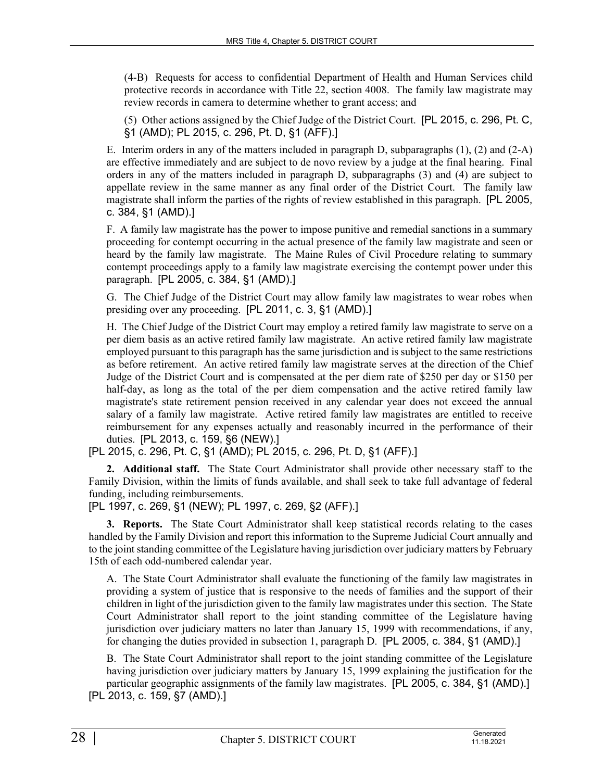(4-B) Requests for access to confidential Department of Health and Human Services child protective records in accordance with Title 22, section 4008. The family law magistrate may review records in camera to determine whether to grant access; and

(5) Other actions assigned by the Chief Judge of the District Court. [PL 2015, c. 296, Pt. C, §1 (AMD); PL 2015, c. 296, Pt. D, §1 (AFF).]

E. Interim orders in any of the matters included in paragraph D, subparagraphs  $(1)$ ,  $(2)$  and  $(2-A)$ are effective immediately and are subject to de novo review by a judge at the final hearing. Final orders in any of the matters included in paragraph D, subparagraphs (3) and (4) are subject to appellate review in the same manner as any final order of the District Court. The family law magistrate shall inform the parties of the rights of review established in this paragraph. [PL 2005, c. 384, §1 (AMD).]

F. A family law magistrate has the power to impose punitive and remedial sanctions in a summary proceeding for contempt occurring in the actual presence of the family law magistrate and seen or heard by the family law magistrate. The Maine Rules of Civil Procedure relating to summary contempt proceedings apply to a family law magistrate exercising the contempt power under this paragraph. [PL 2005, c. 384, §1 (AMD).]

G. The Chief Judge of the District Court may allow family law magistrates to wear robes when presiding over any proceeding. [PL 2011, c. 3, §1 (AMD).]

H. The Chief Judge of the District Court may employ a retired family law magistrate to serve on a per diem basis as an active retired family law magistrate. An active retired family law magistrate employed pursuant to this paragraph has the same jurisdiction and is subject to the same restrictions as before retirement. An active retired family law magistrate serves at the direction of the Chief Judge of the District Court and is compensated at the per diem rate of \$250 per day or \$150 per half-day, as long as the total of the per diem compensation and the active retired family law magistrate's state retirement pension received in any calendar year does not exceed the annual salary of a family law magistrate. Active retired family law magistrates are entitled to receive reimbursement for any expenses actually and reasonably incurred in the performance of their duties. [PL 2013, c. 159, §6 (NEW).]

[PL 2015, c. 296, Pt. C, §1 (AMD); PL 2015, c. 296, Pt. D, §1 (AFF).]

**2. Additional staff.** The State Court Administrator shall provide other necessary staff to the Family Division, within the limits of funds available, and shall seek to take full advantage of federal funding, including reimbursements.

[PL 1997, c. 269, §1 (NEW); PL 1997, c. 269, §2 (AFF).]

**3. Reports.** The State Court Administrator shall keep statistical records relating to the cases handled by the Family Division and report this information to the Supreme Judicial Court annually and to the joint standing committee of the Legislature having jurisdiction over judiciary matters by February 15th of each odd-numbered calendar year.

A. The State Court Administrator shall evaluate the functioning of the family law magistrates in providing a system of justice that is responsive to the needs of families and the support of their children in light of the jurisdiction given to the family law magistrates under this section. The State Court Administrator shall report to the joint standing committee of the Legislature having jurisdiction over judiciary matters no later than January 15, 1999 with recommendations, if any, for changing the duties provided in subsection 1, paragraph D. [PL 2005, c. 384, §1 (AMD).]

B. The State Court Administrator shall report to the joint standing committee of the Legislature having jurisdiction over judiciary matters by January 15, 1999 explaining the justification for the particular geographic assignments of the family law magistrates. [PL 2005, c. 384, §1 (AMD).] [PL 2013, c. 159, §7 (AMD).]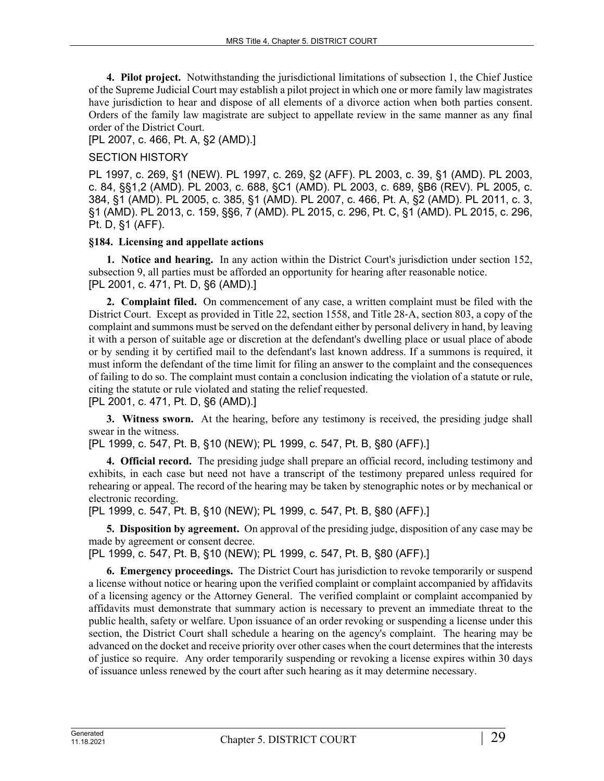**4. Pilot project.** Notwithstanding the jurisdictional limitations of subsection 1, the Chief Justice of the Supreme Judicial Court may establish a pilot project in which one or more family law magistrates have jurisdiction to hear and dispose of all elements of a divorce action when both parties consent. Orders of the family law magistrate are subject to appellate review in the same manner as any final order of the District Court.

[PL 2007, c. 466, Pt. A, §2 (AMD).]

# SECTION HISTORY

PL 1997, c. 269, §1 (NEW). PL 1997, c. 269, §2 (AFF). PL 2003, c. 39, §1 (AMD). PL 2003, c. 84, §§1,2 (AMD). PL 2003, c. 688, §C1 (AMD). PL 2003, c. 689, §B6 (REV). PL 2005, c. 384, §1 (AMD). PL 2005, c. 385, §1 (AMD). PL 2007, c. 466, Pt. A, §2 (AMD). PL 2011, c. 3, §1 (AMD). PL 2013, c. 159, §§6, 7 (AMD). PL 2015, c. 296, Pt. C, §1 (AMD). PL 2015, c. 296, Pt. D, §1 (AFF).

### **§184. Licensing and appellate actions**

**1. Notice and hearing.** In any action within the District Court's jurisdiction under section 152, subsection 9, all parties must be afforded an opportunity for hearing after reasonable notice. [PL 2001, c. 471, Pt. D, §6 (AMD).]

**2. Complaint filed.** On commencement of any case, a written complaint must be filed with the District Court. Except as provided in Title 22, section 1558, and Title 28‑A, section 803, a copy of the complaint and summons must be served on the defendant either by personal delivery in hand, by leaving it with a person of suitable age or discretion at the defendant's dwelling place or usual place of abode or by sending it by certified mail to the defendant's last known address. If a summons is required, it must inform the defendant of the time limit for filing an answer to the complaint and the consequences of failing to do so. The complaint must contain a conclusion indicating the violation of a statute or rule, citing the statute or rule violated and stating the relief requested.

[PL 2001, c. 471, Pt. D, §6 (AMD).]

**3. Witness sworn.** At the hearing, before any testimony is received, the presiding judge shall swear in the witness.

[PL 1999, c. 547, Pt. B, §10 (NEW); PL 1999, c. 547, Pt. B, §80 (AFF).]

**4. Official record.** The presiding judge shall prepare an official record, including testimony and exhibits, in each case but need not have a transcript of the testimony prepared unless required for rehearing or appeal. The record of the hearing may be taken by stenographic notes or by mechanical or electronic recording.

[PL 1999, c. 547, Pt. B, §10 (NEW); PL 1999, c. 547, Pt. B, §80 (AFF).]

**5. Disposition by agreement.** On approval of the presiding judge, disposition of any case may be made by agreement or consent decree.

[PL 1999, c. 547, Pt. B, §10 (NEW); PL 1999, c. 547, Pt. B, §80 (AFF).]

**6. Emergency proceedings.** The District Court has jurisdiction to revoke temporarily or suspend a license without notice or hearing upon the verified complaint or complaint accompanied by affidavits of a licensing agency or the Attorney General. The verified complaint or complaint accompanied by affidavits must demonstrate that summary action is necessary to prevent an immediate threat to the public health, safety or welfare. Upon issuance of an order revoking or suspending a license under this section, the District Court shall schedule a hearing on the agency's complaint. The hearing may be advanced on the docket and receive priority over other cases when the court determines that the interests of justice so require. Any order temporarily suspending or revoking a license expires within 30 days of issuance unless renewed by the court after such hearing as it may determine necessary.